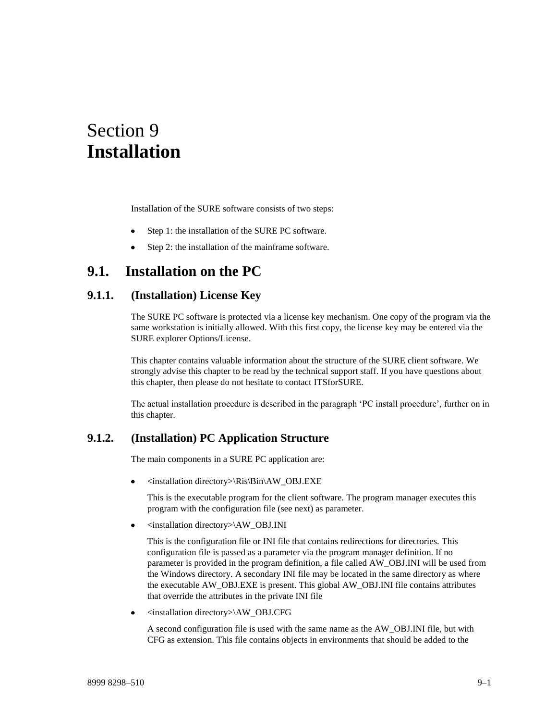# Section 9 **Installation**

Installation of the SURE software consists of two steps:

- Step 1: the installation of the SURE PC software.
- Step 2: the installation of the mainframe software.

# **9.1. Installation on the PC**

# **9.1.1. (Installation) License Key**

The SURE PC software is protected via a license key mechanism. One copy of the program via the same workstation is initially allowed. With this first copy, the license key may be entered via the SURE explorer Options/License.

This chapter contains valuable information about the structure of the SURE client software. We strongly advise this chapter to be read by the technical support staff. If you have questions about this chapter, then please do not hesitate to contact ITSforSURE.

The actual installation procedure is described in the paragraph 'PC install procedure', further on in this chapter.

# **9.1.2. (Installation) PC Application Structure**

The main components in a SURE PC application are:

<installation directory>\Ris\Bin\AW\_OBJ.EXE

This is the executable program for the client software. The program manager executes this program with the configuration file (see next) as parameter.

<installation directory>\AW\_OBJ.INI  $\bullet$ 

This is the configuration file or INI file that contains redirections for directories. This configuration file is passed as a parameter via the program manager definition. If no parameter is provided in the program definition, a file called AW\_OBJ.INI will be used from the Windows directory. A secondary INI file may be located in the same directory as where the executable AW\_OBJ.EXE is present. This global AW\_OBJ.INI file contains attributes that override the attributes in the private INI file

<installation directory>\AW\_OBJ.CFG  $\bullet$ 

A second configuration file is used with the same name as the AW\_OBJ.INI file, but with CFG as extension. This file contains objects in environments that should be added to the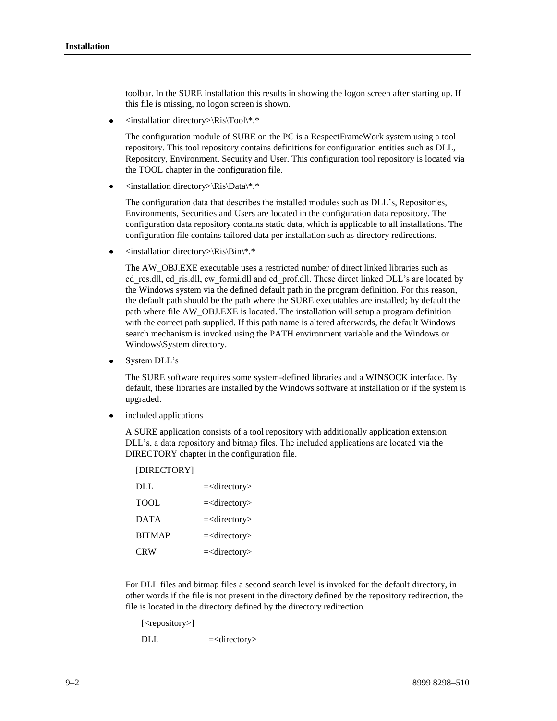toolbar. In the SURE installation this results in showing the logon screen after starting up. If this file is missing, no logon screen is shown.

<installation directory>\Ris\Tool\\*.\*  $\bullet$ 

> The configuration module of SURE on the PC is a RespectFrameWork system using a tool repository. This tool repository contains definitions for configuration entities such as DLL, Repository, Environment, Security and User. This configuration tool repository is located via the TOOL chapter in the configuration file.

<installation directory>\Ris\Data\\*.\*

The configuration data that describes the installed modules such as DLL's, Repositories, Environments, Securities and Users are located in the configuration data repository. The configuration data repository contains static data, which is applicable to all installations. The configuration file contains tailored data per installation such as directory redirections.

 $\langle$ installation directory $\langle$ Ris $\langle Bin \rangle^*$ .\*

The AW\_OBJ.EXE executable uses a restricted number of direct linked libraries such as cd res.dll, cd ris.dll, cw formi.dll and cd prof.dll. These direct linked DLL's are located by the Windows system via the defined default path in the program definition. For this reason, the default path should be the path where the SURE executables are installed; by default the path where file AW\_OBJ.EXE is located. The installation will setup a program definition with the correct path supplied. If this path name is altered afterwards, the default Windows search mechanism is invoked using the PATH environment variable and the Windows or Windows\System directory.

System DLL's

The SURE software requires some system-defined libraries and a WINSOCK interface. By default, these libraries are installed by the Windows software at installation or if the system is upgraded.

included applications

A SURE application consists of a tool repository with additionally application extension DLL's, a data repository and bitmap files. The included applications are located via the DIRECTORY chapter in the configuration file.

| [DIRECTORY]   |                                     |
|---------------|-------------------------------------|
| DLL.          | $=<$ directory>                     |
| <b>TOOL</b>   | $=$ <directory< td=""></directory<> |
| <b>DATA</b>   | $=$ <directory< td=""></directory<> |
| <b>BITMAP</b> | $=$ <directory< td=""></directory<> |
| <b>CRW</b>    | $=$ <directory< td=""></directory<> |

For DLL files and bitmap files a second search level is invoked for the default directory, in other words if the file is not present in the directory defined by the repository redirection, the file is located in the directory defined by the directory redirection.

[<repository>]

DLL  $=$ <directory>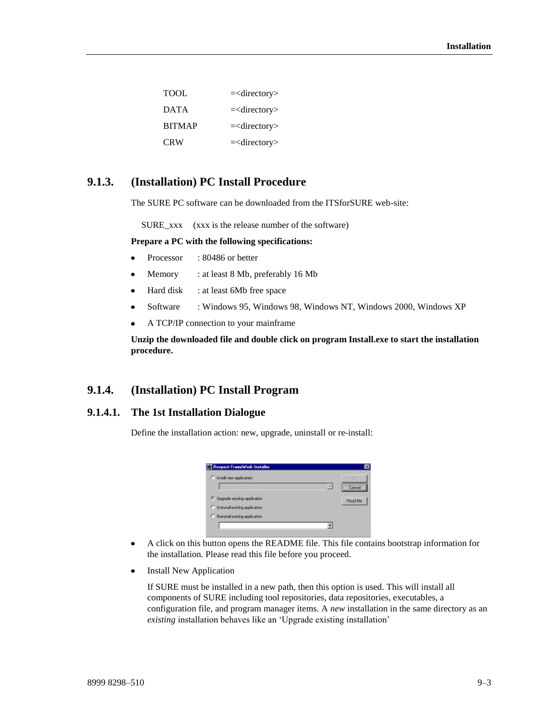| TOOL.         | $=$ <directory></directory> |
|---------------|-----------------------------|
| <b>DATA</b>   | $=$ <directory></directory> |
| <b>BITMAP</b> | $=$ <directory></directory> |
| <b>CRW</b>    | $=$ <directory></directory> |

# **9.1.3. (Installation) PC Install Procedure**

The SURE PC software can be downloaded from the ITSforSURE web-site:

SURE xxx (xxx is the release number of the software)

**Prepare a PC with the following specifications:**

- Processor : 80486 or better  $\bullet$
- $\bullet$ Memory : at least 8 Mb, preferably 16 Mb
- Hard disk : at least 6Mb free space
- Software : Windows 95, Windows 98, Windows NT, Windows 2000, Windows XP  $\bullet$
- A TCP/IP connection to your mainframe  $\bullet$

**Unzip the downloaded file and double click on program Install.exe to start the installation procedure.** 

# **9.1.4. (Installation) PC Install Program**

# **9.1.4.1. The 1st Installation Dialogue**

Define the installation action: new, upgrade, uninstall or re-install:



- A click on this button opens the README file. This file contains bootstrap information for  $\bullet$ the installation. Please read this file before you proceed.
- Install New Application  $\bullet$

If SURE must be installed in a new path, then this option is used. This will install all components of SURE including tool repositories, data repositories, executables, a configuration file, and program manager items. A *new* installation in the same directory as an *existing* installation behaves like an 'Upgrade existing installation'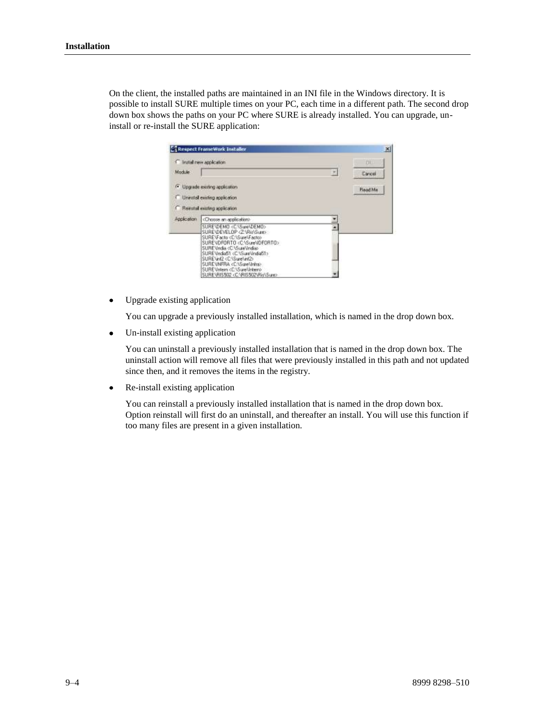On the client, the installed paths are maintained in an INI file in the Windows directory. It is possible to install SURE multiple times on your PC, each time in a different path. The second drop down box shows the paths on your PC where SURE is already installed. You can upgrade, uninstall or re-install the SURE application:

|             | <b>C</b> Install new application                                                                                      | <b>FILL</b>     |
|-------------|-----------------------------------------------------------------------------------------------------------------------|-----------------|
| Module      |                                                                                                                       | Cancel          |
|             | <sup>1</sup> Upgrade existing application                                                                             | <b>Finad Me</b> |
|             | Unmital exiting application.                                                                                          |                 |
|             |                                                                                                                       |                 |
|             | Rematal exating application                                                                                           |                 |
|             | «Choose en application»                                                                                               |                 |
|             | SURE\DEMO <c:\sure\demo></c:\sure\demo>                                                                               |                 |
|             | SURE\DEVELOP<2^Rin\Sure><br>SURE\Facto <c:\sure\facto></c:\sure\facto>                                                |                 |
|             | SURENDFORTO <c surendf0rto=""><br/>SURE Undia <c \sure\india=""></c></c>                                              |                 |
| Application | SURE UndiaS1 <c sure\indias1=""><br/>SURE \inf2 <c:\sure\inf2><br/>SUREMNFRA <c sure\infra=""></c></c:\sure\inf2></c> |                 |

Upgrade existing application  $\bullet$ 

You can upgrade a previously installed installation, which is named in the drop down box.

Un-install existing application  $\bullet$ 

> You can uninstall a previously installed installation that is named in the drop down box. The uninstall action will remove all files that were previously installed in this path and not updated since then, and it removes the items in the registry.

Re-install existing application  $\bullet$ 

> You can reinstall a previously installed installation that is named in the drop down box. Option reinstall will first do an uninstall, and thereafter an install. You will use this function if too many files are present in a given installation.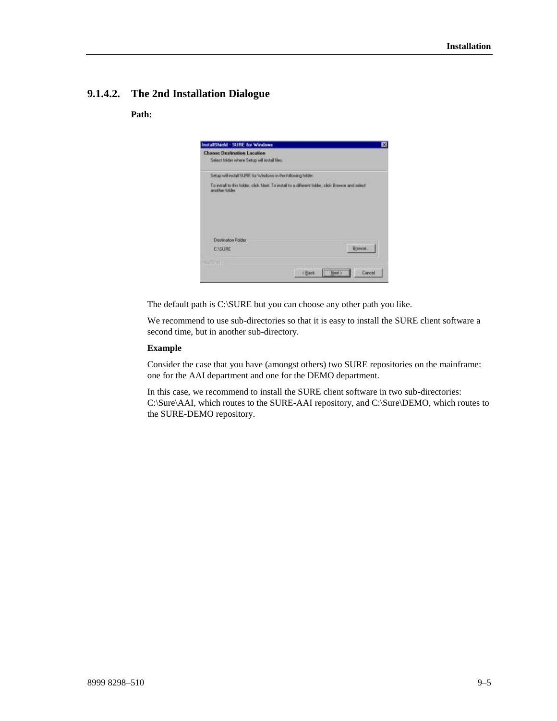# **9.1.4.2. The 2nd Installation Dialogue**

### **Path:**



The default path is C:\SURE but you can choose any other path you like.

We recommend to use sub-directories so that it is easy to install the SURE client software a second time, but in another sub-directory.

#### **Example**

Consider the case that you have (amongst others) two SURE repositories on the mainframe: one for the AAI department and one for the DEMO department.

In this case, we recommend to install the SURE client software in two sub-directories: C:\Sure\AAI, which routes to the SURE-AAI repository, and C:\Sure\DEMO, which routes to the SURE-DEMO repository.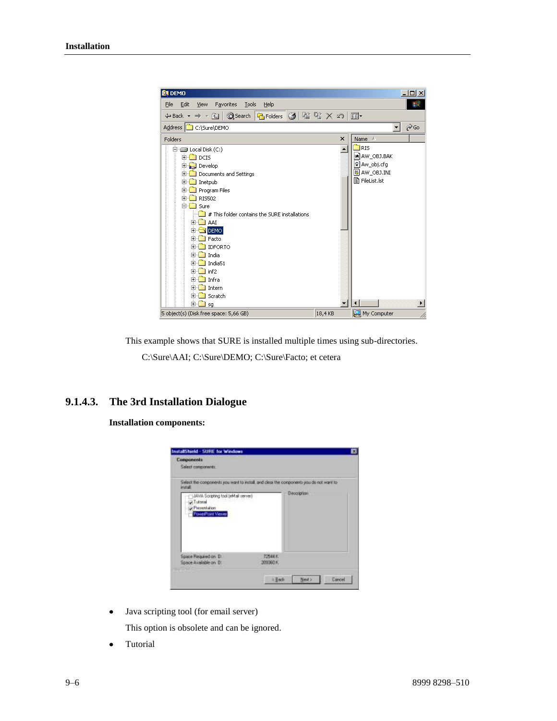

This example shows that SURE is installed multiple times using sub-directories.

C:\Sure\AAI; C:\Sure\DEMO; C:\Sure\Facto; et cetera

# **9.1.4.3. The 3rd Installation Dialogue**

**Installation components:**

| Select the components you want to initial, and clear the components you do not want to<br><b>Hotel</b> |                    |                    |
|--------------------------------------------------------------------------------------------------------|--------------------|--------------------|
| JAWA Scripting tool (eMail cerver)<br>$-$ Tutorial<br>Piesenhabon<br>PowerPoint Viewer                 |                    | <b>Description</b> |
| Space Flequired on: Dr.<br>Space Available on D.                                                       | 72544K<br>209360 K |                    |

Java scripting tool (for email server)  $\bullet$ 

This option is obsolete and can be ignored.

Tutorial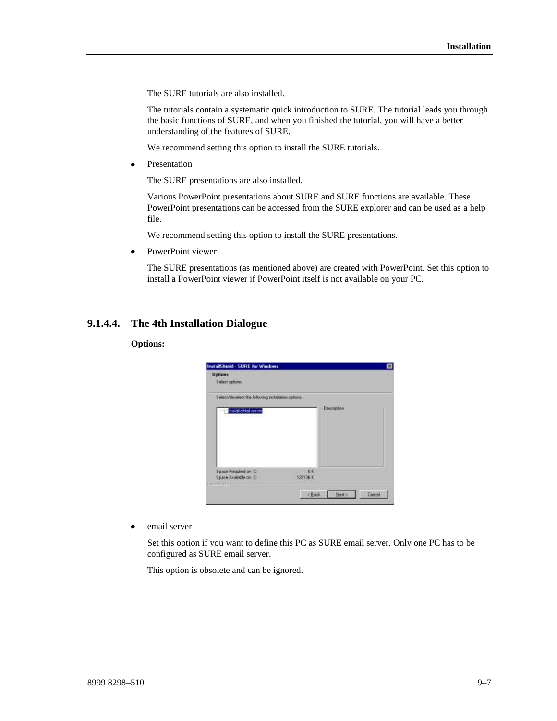The SURE tutorials are also installed.

The tutorials contain a systematic quick introduction to SURE. The tutorial leads you through the basic functions of SURE, and when you finished the tutorial, you will have a better understanding of the features of SURE.

We recommend setting this option to install the SURE tutorials.

Presentation  $\bullet$ 

The SURE presentations are also installed.

Various PowerPoint presentations about SURE and SURE functions are available. These PowerPoint presentations can be accessed from the SURE explorer and can be used as a help file.

We recommend setting this option to install the SURE presentations.

PowerPoint viewer

The SURE presentations (as mentioned above) are created with PowerPoint. Set this option to install a PowerPoint viewer if PowerPoint itself is not available on your PC.

### **9.1.4.4. The 4th Installation Dialogue**

#### **Options:**

| Select/deselect the following installation options:<br>Install eMail server<br>124 M. C. T. G. T. | Description    |  |
|---------------------------------------------------------------------------------------------------|----------------|--|
| Space Required on C<br>Space Available on C:                                                      | 日に<br>1291361. |  |

email server  $\bullet$ 

> Set this option if you want to define this PC as SURE email server. Only one PC has to be configured as SURE email server.

This option is obsolete and can be ignored.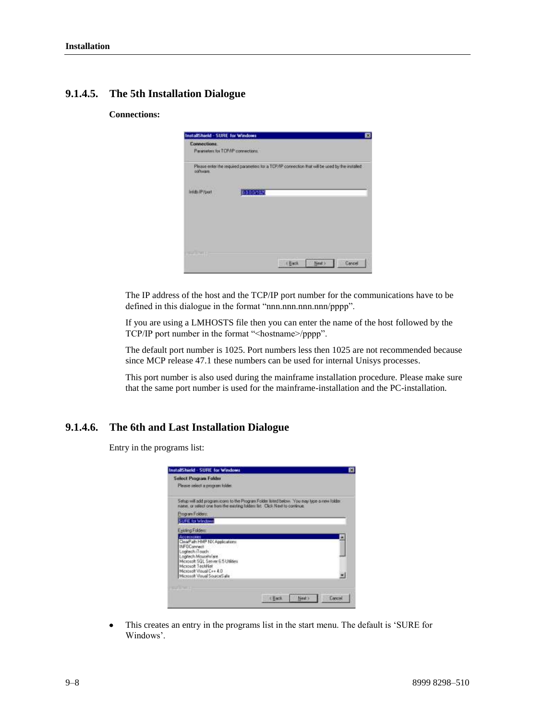# **9.1.4.5. The 5th Installation Dialogue**

### **Connections:**



The IP address of the host and the TCP/IP port number for the communications have to be defined in this dialogue in the format "nnn.nnn.nnn.nnn/pppp".

If you are using a LMHOSTS file then you can enter the name of the host followed by the TCP/IP port number in the format "<hostname>/pppp".

The default port number is 1025. Port numbers less then 1025 are not recommended because since MCP release 47.1 these numbers can be used for internal Unisys processes.

This port number is also used during the mainframe installation procedure. Please make sure that the same port number is used for the mainframe-installation and the PC-installation.

# **9.1.4.6. The 6th and Last Installation Dialogue**

Entry in the programs list:

| <b>Select Program Folder</b><br>Please select a program tolder.                          |  |
|------------------------------------------------------------------------------------------|--|
| Setup will add program icom to the Program Folder lated below. You may tipe a new folder |  |
| name, or select one haro the existing tolders list. Click Next to continue.              |  |
| Program Folders                                                                          |  |
| <b>SURE for Windows</b>                                                                  |  |
| Easteng Folders:                                                                         |  |
| Acceisones                                                                               |  |
| ClearPath HMP NX Applications<br>INFOConnect                                             |  |
| Logitech (Touch                                                                          |  |
| Logfech MouseWare<br>Microsoft SQL Server 6.5 Littlines                                  |  |
| Microsoft TechNet                                                                        |  |
| Microsoft Visual Cv+ 4.0<br>Microsoft Visual SourceSahn                                  |  |
|                                                                                          |  |
|                                                                                          |  |
|                                                                                          |  |

This creates an entry in the programs list in the start menu. The default is 'SURE for Windows'.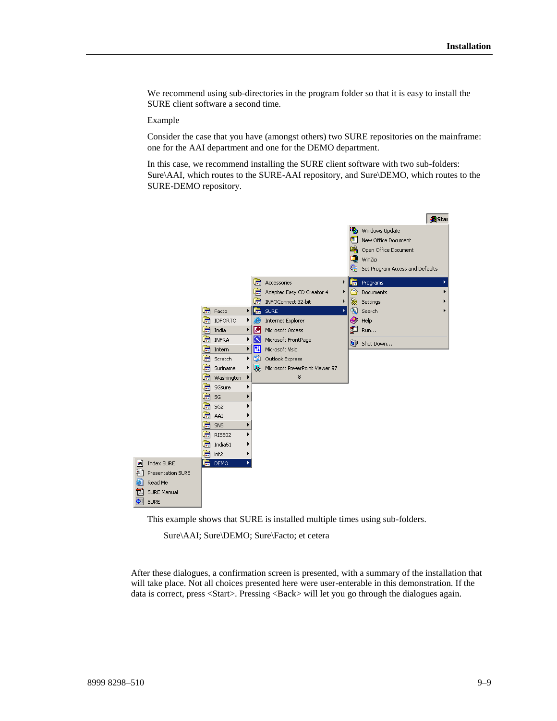We recommend using sub-directories in the program folder so that it is easy to install the SURE client software a second time.

#### Example

Consider the case that you have (amongst others) two SURE repositories on the mainframe: one for the AAI department and one for the DEMO department.

In this case, we recommend installing the SURE client software with two sub-folders: Sure\AAI, which routes to the SURE-AAI repository, and Sure\DEMO, which routes to the SURE-DEMO repository.



This example shows that SURE is installed multiple times using sub-folders.

Sure\AAI; Sure\DEMO; Sure\Facto; et cetera

After these dialogues, a confirmation screen is presented, with a summary of the installation that will take place. Not all choices presented here were user-enterable in this demonstration. If the data is correct, press <Start>. Pressing <Back> will let you go through the dialogues again.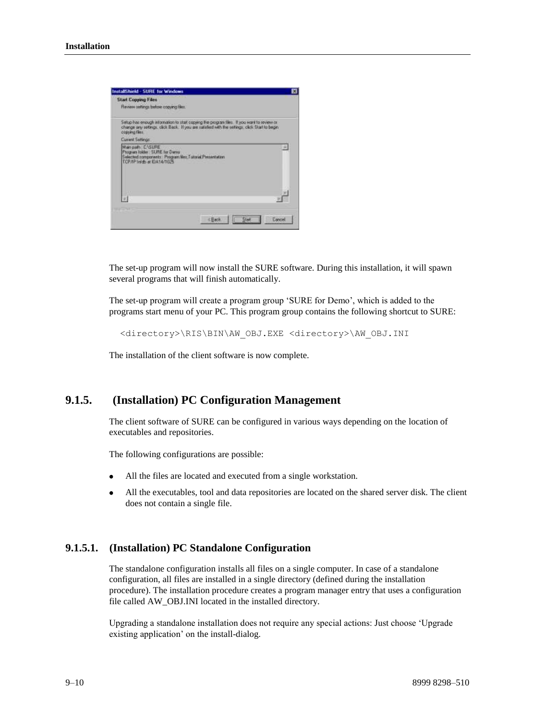

The set-up program will now install the SURE software. During this installation, it will spawn several programs that will finish automatically.

The set-up program will create a program group 'SURE for Demo', which is added to the programs start menu of your PC. This program group contains the following shortcut to SURE:

<directory>\RIS\BIN\AW\_OBJ.EXE <directory>\AW\_OBJ.INI

The installation of the client software is now complete.

# **9.1.5. (Installation) PC Configuration Management**

The client software of SURE can be configured in various ways depending on the location of executables and repositories.

The following configurations are possible:

- All the files are located and executed from a single workstation.
- All the executables, tool and data repositories are located on the shared server disk. The client does not contain a single file.

### **9.1.5.1. (Installation) PC Standalone Configuration**

The standalone configuration installs all files on a single computer. In case of a standalone configuration, all files are installed in a single directory (defined during the installation procedure). The installation procedure creates a program manager entry that uses a configuration file called AW\_OBJ.INI located in the installed directory.

Upgrading a standalone installation does not require any special actions: Just choose 'Upgrade existing application' on the install-dialog.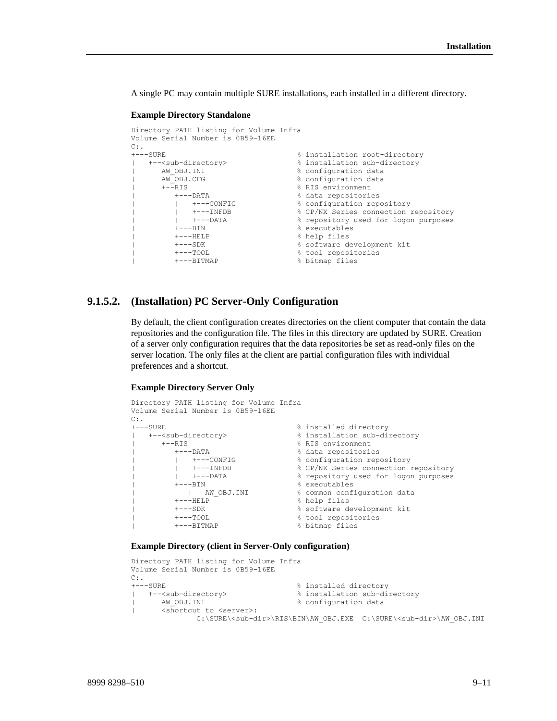A single PC may contain multiple SURE installations, each installed in a different directory.

#### **Example Directory Standalone**

```
Directory PATH listing for Volume Infra
Volume Serial Number is 0B59-16EE
C:.
+---SURE % installation root-directory
| +--<sub-directory> % installation sub-directory
| AW_OBJ.INI % configuration data
| AW_OBJ.CFG % configuration data
| +--RIS % RIS environment
| +---DATA % data repositories
| | +---CONFIG % configuration repository
| | +---INFDB % CP/NX Series connection repository
| | +---DATA % repository used for logon purposes
| +---BIN % executables
| +---HELP % help files
| +---SDK % software development kit
| +---TOOL % tool repositories
     | +---BITMAP % bitmap files
```
### **9.1.5.2. (Installation) PC Server-Only Configuration**

By default, the client configuration creates directories on the client computer that contain the data repositories and the configuration file. The files in this directory are updated by SURE. Creation of a server only configuration requires that the data repositories be set as read-only files on the server location. The only files at the client are partial configuration files with individual preferences and a shortcut.

#### **Example Directory Server Only**

```
Directory PATH listing for Volume Infra
Volume Serial Number is 0B59-16EE
C:+---SURE % installed directory
| +--<sub-directory> % installation sub-directory
| +--RIS % RIS environment
| +---DATA % data repositories
| | +---CONFIG % configuration repository
| | +---INFDB % CP/NX Series connection repository
| | +---DATA % repository used for logon purposes
| +---BIN % executables
       ----BIN<br>| AM_OBJ.INI % common configuration data<br>|----HELP % help files
| +---HELP<br>| +---SDK
      | +---SDK % software development kit
      | +---TOOL % tool repositories
| +---BITMAP % bitmap files
```
#### **Example Directory (client in Server-Only configuration)**

```
Directory PATH listing for Volume Infra
Volume Serial Number is 0B59-16EE
C:.
+---SURE % installed directory
| +--<sub-directory> % installation sub-directory
| AW_OBJ.INI % configuration data
| <shortcut to <server>:
            C:\SURE\<sub-dir>\RIS\BIN\AW_OBJ.EXE C:\SURE\<sub-dir>\AW_OBJ.INI
```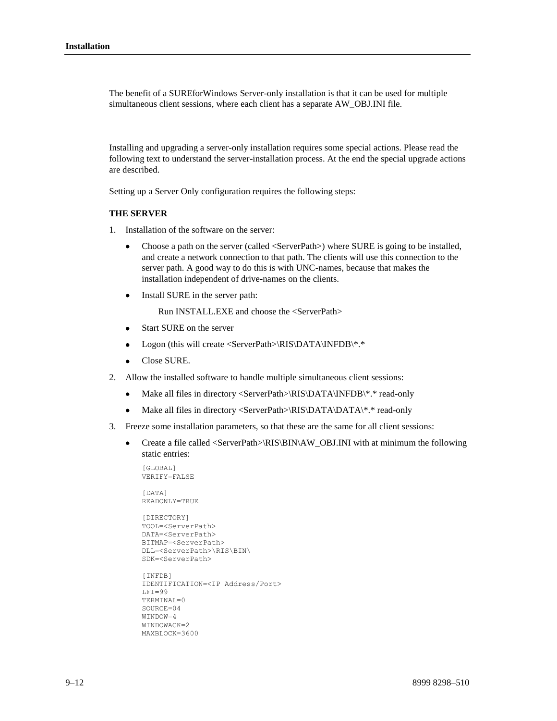The benefit of a SUREforWindows Server-only installation is that it can be used for multiple simultaneous client sessions, where each client has a separate AW\_OBJ.INI file.

Installing and upgrading a server-only installation requires some special actions. Please read the following text to understand the server-installation process. At the end the special upgrade actions are described.

Setting up a Server Only configuration requires the following steps:

#### **THE SERVER**

- 1. Installation of the software on the server:
	- Choose a path on the server (called <ServerPath>) where SURE is going to be installed,  $\bullet$ and create a network connection to that path. The clients will use this connection to the server path. A good way to do this is with UNC-names, because that makes the installation independent of drive-names on the clients.
	- Install SURE in the server path:

Run INSTALL.EXE and choose the <ServerPath>

- Start SURE on the server  $\bullet$
- Logon (this will create <ServerPath>\RIS\DATA\INFDB\\*.\*  $\bullet$
- Close SURE.
- 2. Allow the installed software to handle multiple simultaneous client sessions:
	- Make all files in directory <ServerPath>\RIS\DATA\INFDB\\*.\* read-only  $\bullet$
	- $\bullet$ Make all files in directory <ServerPath>\RIS\DATA\DATA\\*.\* read-only
- 3. Freeze some installation parameters, so that these are the same for all client sessions:
	- Create a file called <ServerPath>\RIS\BIN\AW\_OBJ.INI with at minimum the following  $\bullet$ static entries:

```
[GLOBAL]
VERIFY=FALSE
[DATA]
READONLY=TRUE
[DIRECTORY]
TOOL=<ServerPath>
DATA=<ServerPath>
BITMAP=<ServerPath>
DLL=<ServerPath>\RIS\BIN\
SDK=<ServerPath>
[INFDB]
IDENTIFICATION=<IP Address/Port>
LFT=99TERMINAL=0
SOURCE=04
WINDOW=4
WINDOWACK=2
MAXBLOCK=3600
```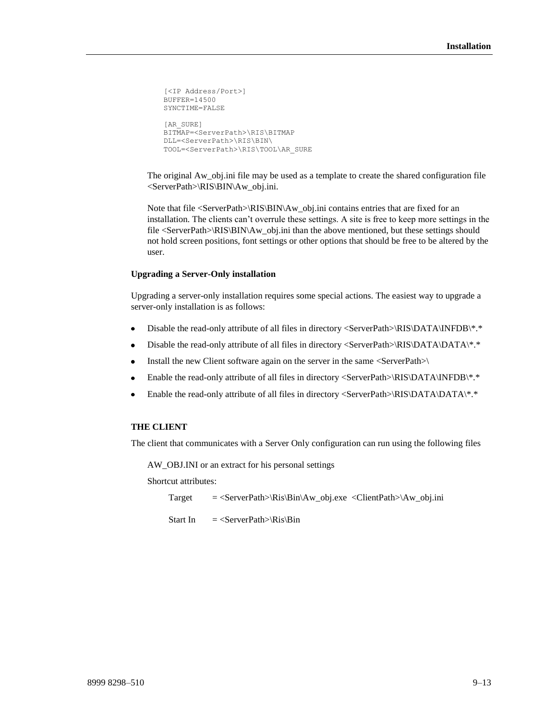```
[<IP Address/Port>]
BUFFER=14500
SYNCTIME=FALSE
[AR_SURE]
BITMAP=<ServerPath>\RIS\BITMAP
DLL=<ServerPath>\RIS\BIN\
TOOL=<ServerPath>\RIS\TOOL\AR_SURE
```
The original Aw\_obj.ini file may be used as a template to create the shared configuration file <ServerPath>\RIS\BIN\Aw\_obj.ini.

Note that file <ServerPath>\RIS\BIN\Aw\_obj.ini contains entries that are fixed for an installation. The clients can't overrule these settings. A site is free to keep more settings in the file <ServerPath>\RIS\BIN\Aw\_obj.ini than the above mentioned, but these settings should not hold screen positions, font settings or other options that should be free to be altered by the user.

#### **Upgrading a Server-Only installation**

Upgrading a server-only installation requires some special actions. The easiest way to upgrade a server-only installation is as follows:

- Disable the read-only attribute of all files in directory <ServerPath>\RIS\DATA\INFDB\\*.\*
- Disable the read-only attribute of all files in directory <ServerPath>\RIS\DATA\DATA\\*.\*  $\bullet$
- Install the new Client software again on the server in the same <ServerPath>\  $\bullet$
- Enable the read-only attribute of all files in directory <ServerPath>\RIS\DATA\INFDB\\*.\*  $\bullet$
- Enable the read-only attribute of all files in directory <ServerPath>\RIS\DATA\DATA\\*.\*

#### **THE CLIENT**

The client that communicates with a Server Only configuration can run using the following files

AW\_OBJ.INI or an extract for his personal settings

Shortcut attributes:

Target = <ServerPath>\Ris\Bin\Aw\_obj.exe <ClientPath>\Aw\_obj.ini

Start In  $=$  <ServerPath>\Ris\Bin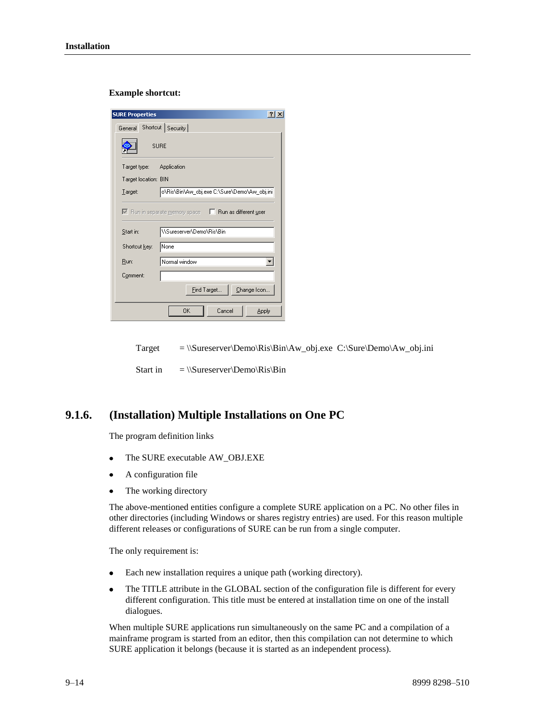#### **Example shortcut:**

| <b>SURE Properties</b>   | ? x                                                            |
|--------------------------|----------------------------------------------------------------|
| General                  | Shortcut   Security                                            |
|                          | <b>SURE</b>                                                    |
| Target type: Application |                                                                |
| Target location: BIN     |                                                                |
| Target:                  | o\Ris\Bin\Aw_obj.exe C:\Sure\Demo\Aw_obj.ini                   |
|                          | Run as different user<br>$\nabla$ Run in separate memory space |
| Start in:                | WSureserverVDemoVRisVBin                                       |
| Shortcut key:            | None                                                           |
| Run:                     | Normal window                                                  |
| Comment:                 |                                                                |
|                          | Eind Target<br>Change Icon                                     |
|                          | OK<br>Cancel<br>Apply                                          |

Target  $= \|\text{Sureserver}\Demo\Ris\Bin\Aw_obj.exe C:\Sure\Dem_\Aw_obj.ini$ 

Start in  $= \|\Sureserver\Demo\Ris\Bin$ 

# **9.1.6. (Installation) Multiple Installations on One PC**

The program definition links

- The SURE executable AW\_OBJ.EXE  $\bullet$
- A configuration file
- The working directory

The above-mentioned entities configure a complete SURE application on a PC. No other files in other directories (including Windows or shares registry entries) are used. For this reason multiple different releases or configurations of SURE can be run from a single computer.

The only requirement is:

- Each new installation requires a unique path (working directory).
- $\bullet$ The TITLE attribute in the GLOBAL section of the configuration file is different for every different configuration. This title must be entered at installation time on one of the install dialogues.

When multiple SURE applications run simultaneously on the same PC and a compilation of a mainframe program is started from an editor, then this compilation can not determine to which SURE application it belongs (because it is started as an independent process).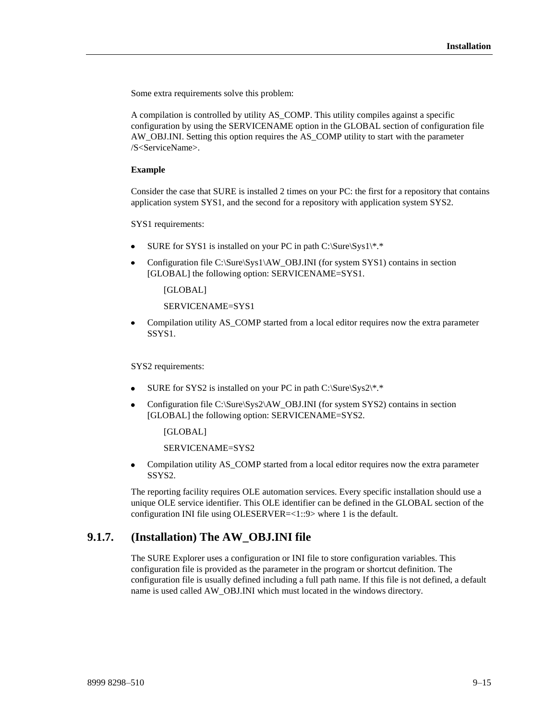Some extra requirements solve this problem:

A compilation is controlled by utility AS\_COMP. This utility compiles against a specific configuration by using the SERVICENAME option in the GLOBAL section of configuration file AW\_OBJ.INI. Setting this option requires the AS\_COMP utility to start with the parameter /S<ServiceName>.

#### **Example**

Consider the case that SURE is installed 2 times on your PC: the first for a repository that contains application system SYS1, and the second for a repository with application system SYS2.

SYS1 requirements:

- SURE for SYS1 is installed on your PC in path C:\Sure\Sys1\\*.\*
- Configuration file C:\Sure\Sys1\AW\_OBJ.INI (for system SYS1) contains in section [GLOBAL] the following option: SERVICENAME=SYS1.

[GLOBAL]

SERVICENAME=SYS1

 $\bullet$ Compilation utility AS\_COMP started from a local editor requires now the extra parameter SSYS1.

SYS2 requirements:

- SURE for SYS2 is installed on your PC in path C:\Sure\Sys2\\*.\*
- Configuration file C:\Sure\Sys2\AW\_OBJ.INI (for system SYS2) contains in section [GLOBAL] the following option: SERVICENAME=SYS2.

[GLOBAL]

SERVICENAME=SYS2

 $\bullet$ Compilation utility AS\_COMP started from a local editor requires now the extra parameter SSYS2.

The reporting facility requires OLE automation services. Every specific installation should use a unique OLE service identifier. This OLE identifier can be defined in the GLOBAL section of the configuration INI file using OLESERVER=<1::9> where 1 is the default.

# **9.1.7. (Installation) The AW\_OBJ.INI file**

The SURE Explorer uses a configuration or INI file to store configuration variables. This configuration file is provided as the parameter in the program or shortcut definition. The configuration file is usually defined including a full path name. If this file is not defined, a default name is used called AW\_OBJ.INI which must located in the windows directory.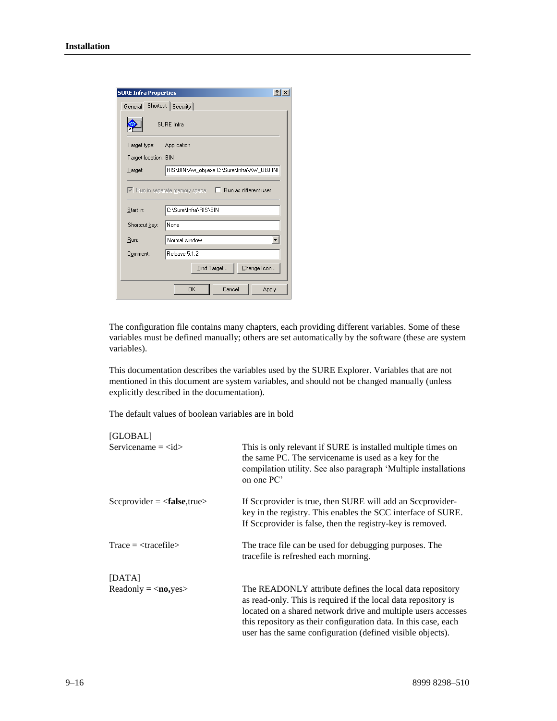

The configuration file contains many chapters, each providing different variables. Some of these variables must be defined manually; others are set automatically by the software (these are system variables).

This documentation describes the variables used by the SURE Explorer. Variables that are not mentioned in this document are system variables, and should not be changed manually (unless explicitly described in the documentation).

The default values of boolean variables are in bold

| [GLOBAL]                      |                                                                                                                                                                                                                                                                                                                              |
|-------------------------------|------------------------------------------------------------------------------------------------------------------------------------------------------------------------------------------------------------------------------------------------------------------------------------------------------------------------------|
| Servicename $=$ $<$ id $>$    | This is only relevant if SURE is installed multiple times on<br>the same PC. The servicename is used as a key for the<br>compilation utility. See also paragraph 'Multiple installations<br>on one PC'                                                                                                                       |
| $Scorporider = false, true>$  | If Sceprovider is true, then SURE will add an Sceprovider-<br>key in the registry. This enables the SCC interface of SURE.<br>If Sceprovider is false, then the registry-key is removed.                                                                                                                                     |
| $Trace = <\!\!tracefile\!\!>$ | The trace file can be used for debugging purposes. The<br>tracefile is refreshed each morning.                                                                                                                                                                                                                               |
| [DATA]                        |                                                                                                                                                                                                                                                                                                                              |
| $Readonly = no,yes$           | The READONLY attribute defines the local data repository<br>as read-only. This is required if the local data repository is<br>located on a shared network drive and multiple users accesses<br>this repository as their configuration data. In this case, each<br>user has the same configuration (defined visible objects). |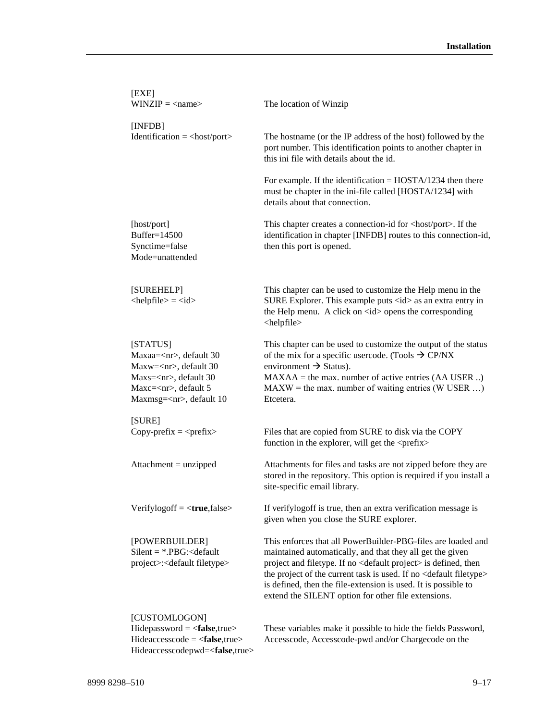| [EXE]<br>$WINZIP = \langle name \rangle$                                                                                                                              | The location of Winzip                                                                                                                                                                                                                                                                                                                                                                                                 |
|-----------------------------------------------------------------------------------------------------------------------------------------------------------------------|------------------------------------------------------------------------------------------------------------------------------------------------------------------------------------------------------------------------------------------------------------------------------------------------------------------------------------------------------------------------------------------------------------------------|
| [INFDB]<br>$Identification = <$ host/port>                                                                                                                            | The hostname (or the IP address of the host) followed by the<br>port number. This identification points to another chapter in<br>this ini file with details about the id.                                                                                                                                                                                                                                              |
|                                                                                                                                                                       | For example. If the identification $=$ HOSTA/1234 then there<br>must be chapter in the ini-file called [HOSTA/1234] with<br>details about that connection.                                                                                                                                                                                                                                                             |
| [host/port]<br>Buffer=14500<br>Synctime=false<br>Mode=unattended                                                                                                      | This chapter creates a connection-id for <host port="">. If the<br/>identification in chapter [INFDB] routes to this connection-id,<br/>then this port is opened.</host>                                                                                                                                                                                                                                               |
| [SUREHELP]<br>$\langle$ helpfile $\rangle$ = $\langle$ id $\rangle$                                                                                                   | This chapter can be used to customize the Help menu in the<br>SURE Explorer. This example puts <id> as an extra entry in<br/>the Help menu. A click on <math>\langle</math>id<math>\rangle</math> opens the corresponding<br/><helpfile></helpfile></id>                                                                                                                                                               |
| [STATUS]<br>Maxaa= <nr>, default 30<br/>Maxw=<nr>, default 30<br/>Maxs=<nr>, default 30<br/>Maxc=<nr>, default 5<br/>Maxmsg=<nr>, default 10</nr></nr></nr></nr></nr> | This chapter can be used to customize the output of the status<br>of the mix for a specific usercode. (Tools $\rightarrow$ CP/NX<br>environment $\rightarrow$ Status).<br>$MAXAA =$ the max. number of active entries $(AA \text{ USER} )$<br>$MAXW =$ the max. number of waiting entries (W USER )<br>Etcetera.                                                                                                       |
| [SURE]<br>Copy-prefix $=$ <prefix></prefix>                                                                                                                           | Files that are copied from SURE to disk via the COPY<br>function in the explorer, will get the <prefix></prefix>                                                                                                                                                                                                                                                                                                       |
| $Attachment = unzipped$                                                                                                                                               | Attachments for files and tasks are not zipped before they are<br>stored in the repository. This option is required if you install a<br>site-specific email library.                                                                                                                                                                                                                                                   |
| Verifylogoff = $<$ true, false>                                                                                                                                       | If verifylogoff is true, then an extra verification message is<br>given when you close the SURE explorer.                                                                                                                                                                                                                                                                                                              |
| [POWERBUILDER]<br>$Silent =$ *.PBG: < default<br>project>: <default filetype=""></default>                                                                            | This enforces that all PowerBuilder-PBG-files are loaded and<br>maintained automatically, and that they all get the given<br>project and filetype. If no <default project=""> is defined, then<br/>the project of the current task is used. If no <default filetype=""><br/>is defined, then the file-extension is used. It is possible to<br/>extend the SILENT option for other file extensions.</default></default> |
| [CUSTOMLOGON]<br>$Hidepassword = $<br>$Hideaccesscode = $                                                                                                             | These variables make it possible to hide the fields Password,<br>Accesscode, Accesscode-pwd and/or Chargecode on the                                                                                                                                                                                                                                                                                                   |

Hideaccesscodepwd=<**false**,true>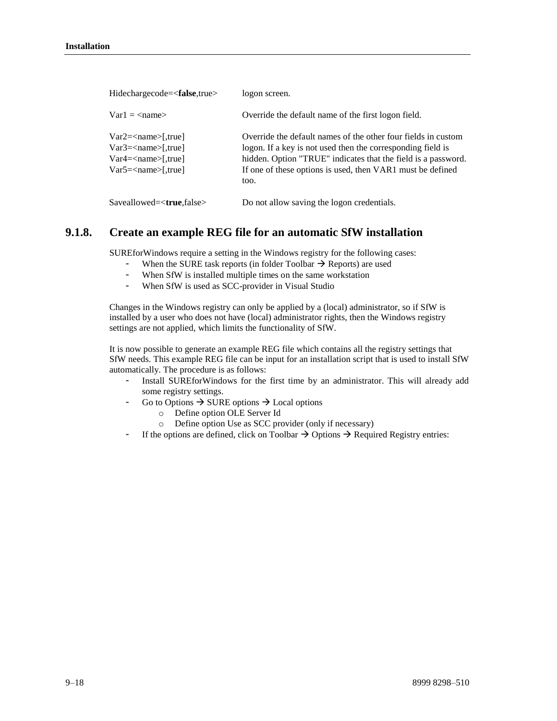| Hidechargecode= <false,true></false,true>                                                                 | logon screen.                                                                                                                                                                                                                                                       |
|-----------------------------------------------------------------------------------------------------------|---------------------------------------------------------------------------------------------------------------------------------------------------------------------------------------------------------------------------------------------------------------------|
| $Var1 = \langle name \rangle$                                                                             | Override the default name of the first logon field.                                                                                                                                                                                                                 |
| $Var2 = name [true]$<br>$Var3 = <$ name $>[$ ,true<br>$Var4 = name [true]$<br>$Var5 = <$ name $>[$ ,true] | Override the default names of the other four fields in custom<br>logon. If a key is not used then the corresponding field is<br>hidden. Option "TRUE" indicates that the field is a password.<br>If one of these options is used, then VAR1 must be defined<br>too. |
| $Saveallowed = $                                                                                          | Do not allow saving the logon credentials.                                                                                                                                                                                                                          |

# **9.1.8. Create an example REG file for an automatic SfW installation**

SUREforWindows require a setting in the Windows registry for the following cases:

- When the SURE task reports (in folder Toolbar  $\rightarrow$  Reports) are used
- When SfW is installed multiple times on the same workstation
- When SfW is used as SCC-provider in Visual Studio

Changes in the Windows registry can only be applied by a (local) administrator, so if SfW is installed by a user who does not have (local) administrator rights, then the Windows registry settings are not applied, which limits the functionality of SfW.

It is now possible to generate an example REG file which contains all the registry settings that SfW needs. This example REG file can be input for an installation script that is used to install SfW automatically. The procedure is as follows:

- Install SUREforWindows for the first time by an administrator. This will already add some registry settings.
	- Go to Options  $\rightarrow$  SURE options  $\rightarrow$  Local options
		- o Define option OLE Server Id
		- o Define option Use as SCC provider (only if necessary)
- If the options are defined, click on Toolbar  $\rightarrow$  Options  $\rightarrow$  Required Registry entries: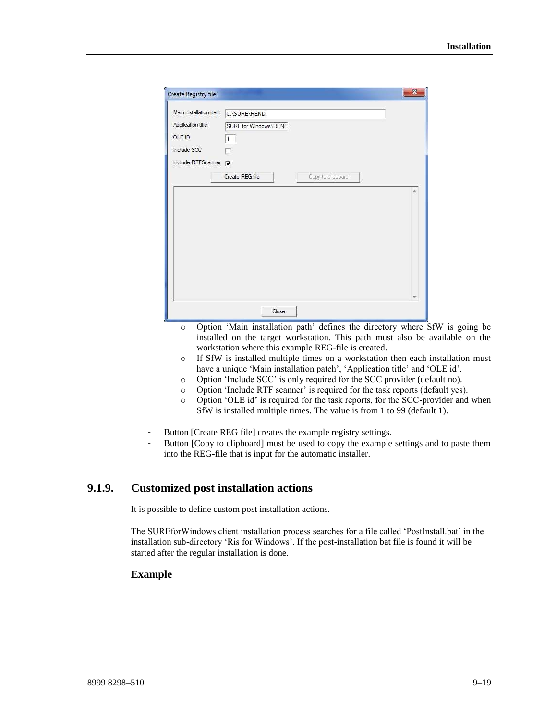| Create Registry file   |                       |                    | $\mathbf{x}$ |
|------------------------|-----------------------|--------------------|--------------|
| Main installation path | C:\SURE\REND          |                    |              |
| Application title      | SURE for Windows\REND |                    |              |
| OLE ID                 | $\mathbf{1}$          |                    |              |
| Include SCC            |                       |                    |              |
| Include RTFScanner V   |                       |                    |              |
|                        | Create REG file       | Copy to clipboard. |              |
|                        |                       |                    |              |
|                        |                       |                    |              |
|                        |                       |                    |              |

- o Option 'Main installation path' defines the directory where SfW is going be installed on the target workstation. This path must also be available on the workstation where this example REG-file is created.
- o If SfW is installed multiple times on a workstation then each installation must have a unique 'Main installation patch', 'Application title' and 'OLE id'.
- o Option 'Include SCC' is only required for the SCC provider (default no).
- o Option 'Include RTF scanner' is required for the task reports (default yes).
- o Option 'OLE id' is required for the task reports, for the SCC-provider and when SfW is installed multiple times. The value is from 1 to 99 (default 1).
- Button [Create REG file] creates the example registry settings.
- Button [Copy to clipboard] must be used to copy the example settings and to paste them into the REG-file that is input for the automatic installer.

# **9.1.9. Customized post installation actions**

It is possible to define custom post installation actions.

The SUREforWindows client installation process searches for a file called 'PostInstall.bat' in the installation sub-directory 'Ris for Windows'. If the post-installation bat file is found it will be started after the regular installation is done.

### **Example**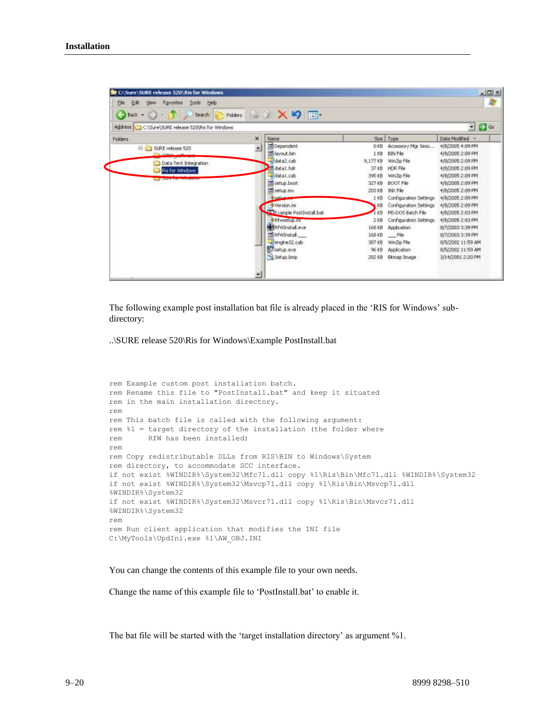| Back - Car - La France<br>Search                                   | Polders:    | <b>AXDE</b>                      |          |                        | $-260$            |
|--------------------------------------------------------------------|-------------|----------------------------------|----------|------------------------|-------------------|
| Address C:\Sure\SURE release 520\Ris for Windows<br><b>Folders</b> | $\mathbf x$ | Name                             | Size     | Type                   | Date Modified     |
|                                                                    |             | <b>III</b> Dependent             | $0$ KB   | Accessory Mar Sess     | 4/8/2005 4:09 PM  |
| SURE release 520<br>日に                                             | ×           | diayout.bin                      | $1$ KB   | BBN File               | 4/8/2005 2:09 PM  |
| Data Text Integration                                              |             | data2.cab                        | 9,177.KB | WinZip File            | 4/8/2005 2:09 PM  |
| Ris for Windows                                                    |             | midsta1.hdr                      | 37 KB    | <b>HDR File</b>        | 4/8/2005 2:09 PM  |
|                                                                    |             | Jdata1.cab                       | 390 KB   | WinZip Film            | 4/8/2005 2:09 PM  |
| <b>AND A CONTROL OF A CONTRACTOR</b>                               |             | setup.boot                       | 327 KB   | BOOT File              | 4/8/2005 2:09 PM  |
|                                                                    |             | Ed setup.inx                     | 203 KB   | INX File               | 4/8/2005 2:09 PM  |
|                                                                    |             | di columna                       | 1 KB     | Configuration Settings | 4/8/2005 2:09 PM  |
|                                                                    |             | Wersion.ini                      | KB       | Configuration Settings | 4/8/2005 2:09 PM  |
|                                                                    |             | Francie PostInstalLbat           | 储        | MS-DOS Batch File      | 4/8/2005 2:03 PM  |
|                                                                    |             | REwsetup.in                      | $2$ KB   | Configuration Settings | 4/8/2005 2:03 PM  |
|                                                                    |             | <b>Material Provincial Lexie</b> | 168 KB   | Application            | 8/7/2003 3:39 PM  |
|                                                                    |             | El RFWInstal.                    | 168 KB   | - Fie                  | 8/7/2003 3:39 PM  |
|                                                                    |             | engine32.cab                     | 367 KB   | WinZip File            | 8/5/2002 11:59 AM |
|                                                                    |             | setup.exe                        | 96 KB    | Application            | 8/5/2002 11:59 AM |
|                                                                    |             | Setup.bmp                        | 282 KB   | <b>Ekniap Image</b>    | 3/14/2001 2:20 PM |

The following example post installation bat file is already placed in the 'RIS for Windows' subdirectory:

..\SURE release 520\Ris for Windows\Example PostInstall.bat

```
rem Example custom post installation batch.
rem Rename this file to "PostInstall.bat" and keep it situated 
rem in the main installation directory.
rem
rem This batch file is called with the following argument:
rem %1 = target directory of the installation (the folder where 
rem RfW has been installed)
rem
rem Copy redistributable DLLs from RIS\BIN to Windows\System 
rem directory, to accommodate SCC interface.
if not exist %WINDIR%\System32\Mfc71.dll copy %1\Ris\Bin\Mfc71.dll %WINDIR%\System32
if not exist %WINDIR%\System32\Msvcp71.dll copy %1\Ris\Bin\Msvcp71.dll 
%WINDIR%\System32
if not exist %WINDIR%\System32\Msvcr71.dll copy %1\Ris\Bin\Msvcr71.dll 
%WINDIR%\System32
rem
rem Run client application that modifies the INI file
C:\MyTools\UpdIni.exe %1\AW_OBJ.INI
```
You can change the contents of this example file to your own needs.

Change the name of this example file to 'PostInstall.bat' to enable it.

The bat file will be started with the 'target installation directory' as argument %1.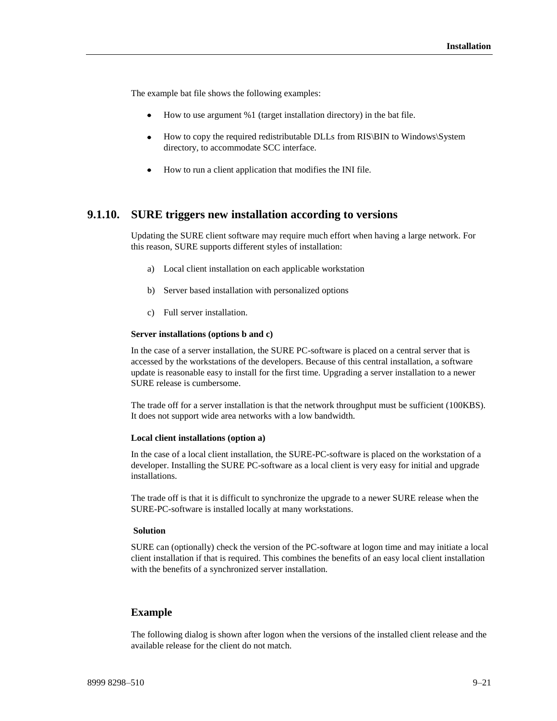The example bat file shows the following examples:

- How to use argument %1 (target installation directory) in the bat file.
- How to copy the required redistributable DLLs from RIS\BIN to Windows\System directory, to accommodate SCC interface.
- How to run a client application that modifies the INI file.

### **9.1.10. SURE triggers new installation according to versions**

Updating the SURE client software may require much effort when having a large network. For this reason, SURE supports different styles of installation:

- a) Local client installation on each applicable workstation
- b) Server based installation with personalized options
- c) Full server installation.

#### **Server installations (options b and c)**

In the case of a server installation, the SURE PC-software is placed on a central server that is accessed by the workstations of the developers. Because of this central installation, a software update is reasonable easy to install for the first time. Upgrading a server installation to a newer SURE release is cumbersome.

The trade off for a server installation is that the network throughput must be sufficient (100KBS). It does not support wide area networks with a low bandwidth.

#### **Local client installations (option a)**

In the case of a local client installation, the SURE-PC-software is placed on the workstation of a developer. Installing the SURE PC-software as a local client is very easy for initial and upgrade installations.

The trade off is that it is difficult to synchronize the upgrade to a newer SURE release when the SURE-PC-software is installed locally at many workstations.

#### **Solution**

SURE can (optionally) check the version of the PC-software at logon time and may initiate a local client installation if that is required. This combines the benefits of an easy local client installation with the benefits of a synchronized server installation.

### **Example**

The following dialog is shown after logon when the versions of the installed client release and the available release for the client do not match.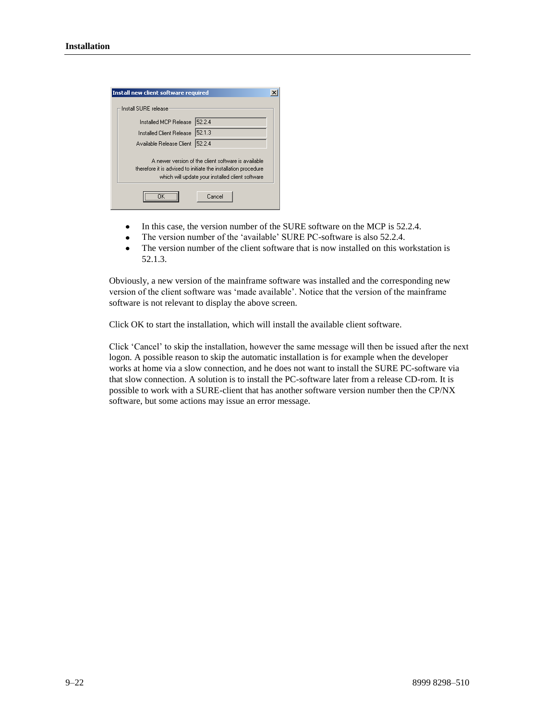| Install new client software required |                                                                                                                                                                           |  |
|--------------------------------------|---------------------------------------------------------------------------------------------------------------------------------------------------------------------------|--|
| Install SLIBE release                |                                                                                                                                                                           |  |
| Installed MCP Release                | 5224                                                                                                                                                                      |  |
| Installed Client Release             | 52.1.3                                                                                                                                                                    |  |
| Available Release Client             | 52.2.4                                                                                                                                                                    |  |
|                                      | A newer version of the client software is available<br>therefore it is advised to initiate the installation procedure<br>which will update your installed client software |  |
|                                      | Cancel                                                                                                                                                                    |  |

- In this case, the version number of the SURE software on the MCP is 52.2.4.  $\bullet$
- The version number of the 'available' SURE PC-software is also 52.2.4.  $\bullet$
- $\bullet$ The version number of the client software that is now installed on this workstation is 52.1.3.

Obviously, a new version of the mainframe software was installed and the corresponding new version of the client software was 'made available'. Notice that the version of the mainframe software is not relevant to display the above screen.

Click OK to start the installation, which will install the available client software.

Click 'Cancel' to skip the installation, however the same message will then be issued after the next logon. A possible reason to skip the automatic installation is for example when the developer works at home via a slow connection, and he does not want to install the SURE PC-software via that slow connection. A solution is to install the PC-software later from a release CD-rom. It is possible to work with a SURE-client that has another software version number then the CP/NX software, but some actions may issue an error message.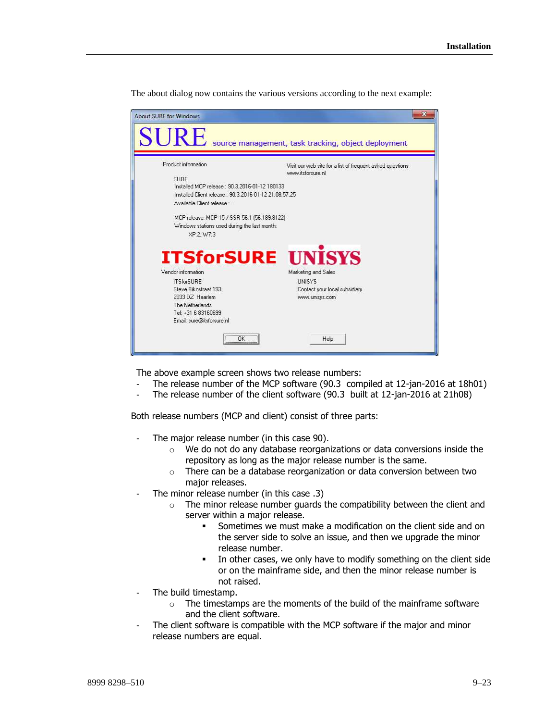The about dialog now contains the various versions according to the next example:

| <b>About SURE for Windows</b>                                                                                                                                                                                                                                                             | $\mathbf x$                                                                             |
|-------------------------------------------------------------------------------------------------------------------------------------------------------------------------------------------------------------------------------------------------------------------------------------------|-----------------------------------------------------------------------------------------|
| $\mathbf{SURE}$ source management, task tracking, object deployment                                                                                                                                                                                                                       |                                                                                         |
| Product information<br><b>SURE</b><br>Installed MCP release : 90.3.2016-01-12.180133<br>Installed Client release: 90.3.2016-01-12 21:08:57.25<br>Available Client release :<br>MCP release: MCP 15 / SSR 56.1 (56.189.8122)<br>Windows stations used during the last month:<br>XP:2; W7:3 | Visit our web site for a list of frequent asked questions<br>www.itsforsure.nl          |
| <b>ITSforSURE UNISYS</b><br>Vendor information<br><b>ITSforSURE</b><br>Steve Bikostraat 193<br>2033 DZ Haarlem<br>The Netherlands<br>Tel: +31 6 83160699<br>Email: sure@itsforsure.nl                                                                                                     | Marketing and Sales<br><b>UNISYS</b><br>Contact your local subsidiary<br>www.unisys.com |
| OK T<br>                                                                                                                                                                                                                                                                                  | Help                                                                                    |

The above example screen shows two release numbers:

- The release number of the MCP software (90.3 compiled at 12-jan-2016 at 18h01)
- The release number of the client software (90.3 built at 12-jan-2016 at 21h08)

Both release numbers (MCP and client) consist of three parts:

- The major release number (in this case 90).
	- o We do not do any database reorganizations or data conversions inside the repository as long as the major release number is the same.
	- o There can be a database reorganization or data conversion between two major releases.
- The minor release number (in this case .3)
	- $\circ$  The minor release number guards the compatibility between the client and server within a major release.
		- Sometimes we must make a modification on the client side and on the server side to solve an issue, and then we upgrade the minor release number.
		- In other cases, we only have to modify something on the client side or on the mainframe side, and then the minor release number is not raised.
- The build timestamp.
	- $\circ$  The timestamps are the moments of the build of the mainframe software and the client software.
- The client software is compatible with the MCP software if the major and minor release numbers are equal.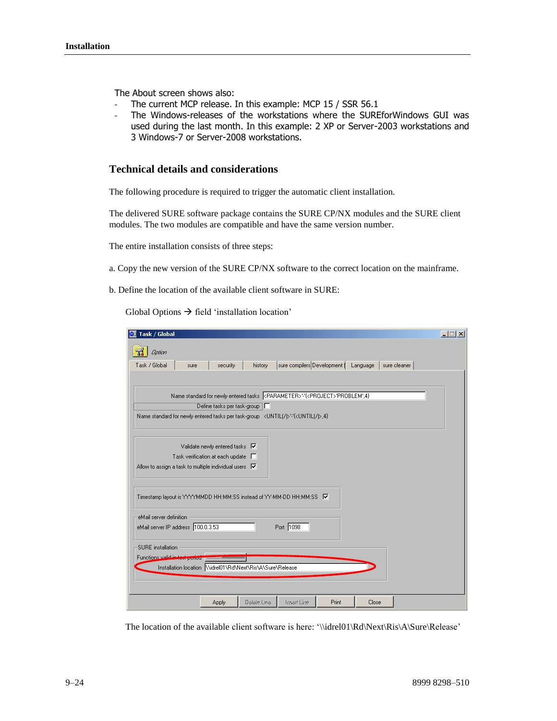The About screen shows also:

- The current MCP release. In this example: MCP 15 / SSR 56.1
- The Windows-releases of the workstations where the SUREforWindows GUI was used during the last month. In this example: 2 XP or Server-2003 workstations and 3 Windows-7 or Server-2008 workstations.

### **Technical details and considerations**

The following procedure is required to trigger the automatic client installation.

The delivered SURE software package contains the SURE CP/NX modules and the SURE client modules. The two modules are compatible and have the same version number.

The entire installation consists of three steps:

a. Copy the new version of the SURE CP/NX software to the correct location on the mainframe.

b. Define the location of the available client software in SURE:

Global Options  $\rightarrow$  field 'installation location'

| Task / Global                                                                                            | $ \Box$ $\times$ |
|----------------------------------------------------------------------------------------------------------|------------------|
| Option                                                                                                   |                  |
| Task / Global<br>sure compilers Development (<br>history<br>Language<br>sure cleaner<br>security<br>sure |                  |
|                                                                                                          |                  |
|                                                                                                          |                  |
| Define tasks per task-group   □                                                                          |                  |
| Name standard for newly entered tasks per task-group <until( )="">!-{<until( )="">,4}</until(></until(>  |                  |
|                                                                                                          |                  |
| Validate newly entered tasks V                                                                           |                  |
| Task verification at each update<br>a Tan                                                                |                  |
| Allow to assign a task to multiple individual users $\overline{\blacktriangledown}$                      |                  |
|                                                                                                          |                  |
| Timestamp layout is YYYYMMDD HH:MM:SS instead of YY-MM-DD HH:MM:SS   V                                   |                  |
|                                                                                                          |                  |
| eMail server definition                                                                                  |                  |
| Port 1098<br>eMail server IP address 100.0.3.53                                                          |                  |
|                                                                                                          |                  |
| SURE installation                                                                                        |                  |
| Functions valid in test seriod<br>Installation location \\\idrel01\Rd\Next\Ris\A\Sure\Release            |                  |
|                                                                                                          |                  |
|                                                                                                          |                  |
| Delete time<br>Inser Line<br>Print<br>Close<br>Apply                                                     |                  |

The location of the available client software is here: '\\idrel01\Rd\Next\Ris\A\Sure\Release'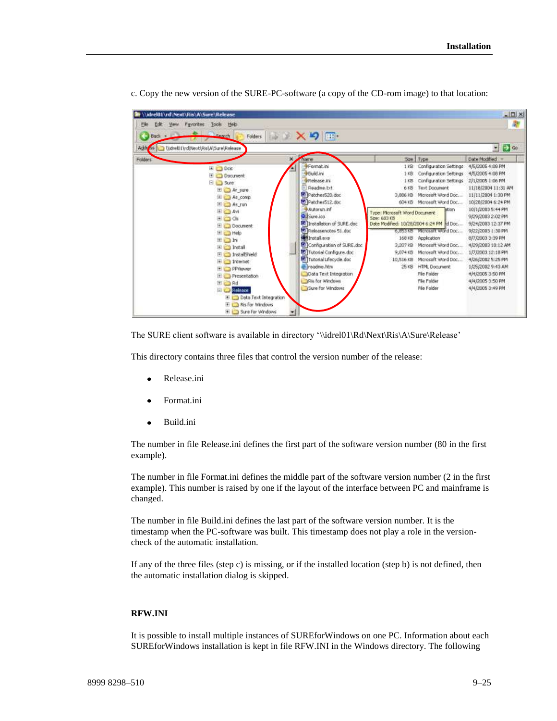

c. Copy the new version of the SURE-PC-software (a copy of the CD-rom image) to that location:

The SURE client software is available in directory '\\idrel01\Rd\Next\Ris\A\Sure\Release'

This directory contains three files that control the version number of the release:

- Release.ini
- Format.ini
- Build.ini  $\bullet$

The number in file Release.ini defines the first part of the software version number (80 in the first example).

The number in file Format.ini defines the middle part of the software version number (2 in the first example). This number is raised by one if the layout of the interface between PC and mainframe is changed.

The number in file Build.ini defines the last part of the software version number. It is the timestamp when the PC-software was built. This timestamp does not play a role in the versioncheck of the automatic installation.

If any of the three files (step c) is missing, or if the installed location (step b) is not defined, then the automatic installation dialog is skipped.

#### **RFW.INI**

It is possible to install multiple instances of SUREforWindows on one PC. Information about each SUREforWindows installation is kept in file RFW.INI in the Windows directory. The following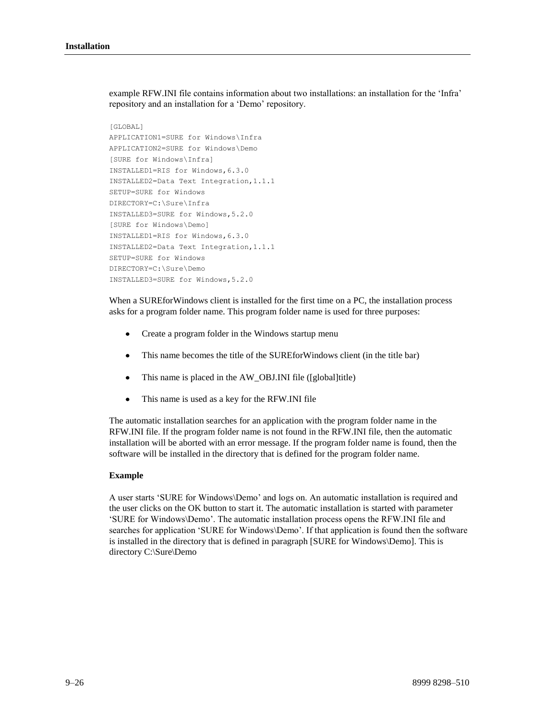example RFW.INI file contains information about two installations: an installation for the 'Infra' repository and an installation for a 'Demo' repository.

```
[GLOBAL]
APPLICATION1=SURE for Windows\Infra
APPLICATION2=SURE for Windows\Demo
[SURE for Windows\Infra]
INSTALLED1=RIS for Windows,6.3.0
INSTALLED2=Data Text Integration,1.1.1
SETUP=SURE for Windows
DIRECTORY=C:\Sure\Infra
INSTALLED3=SURE for Windows,5.2.0
[SURE for Windows\Demo]
INSTALLED1=RIS for Windows,6.3.0
INSTALLED2=Data Text Integration,1.1.1
SETUP=SURE for Windows
DIRECTORY=C:\Sure\Demo
INSTALLED3=SURE for Windows,5.2.0
```
When a SUREforWindows client is installed for the first time on a PC, the installation process asks for a program folder name. This program folder name is used for three purposes:

- $\bullet$ Create a program folder in the Windows startup menu
- This name becomes the title of the SUREforWindows client (in the title bar)
- This name is placed in the AW\_OBJ.INI file ([global]title)
- $\bullet$ This name is used as a key for the RFW.INI file

The automatic installation searches for an application with the program folder name in the RFW.INI file. If the program folder name is not found in the RFW.INI file, then the automatic installation will be aborted with an error message. If the program folder name is found, then the software will be installed in the directory that is defined for the program folder name.

#### **Example**

A user starts 'SURE for Windows\Demo' and logs on. An automatic installation is required and the user clicks on the OK button to start it. The automatic installation is started with parameter 'SURE for Windows\Demo'. The automatic installation process opens the RFW.INI file and searches for application 'SURE for Windows\Demo'. If that application is found then the software is installed in the directory that is defined in paragraph [SURE for Windows\Demo]. This is directory C:\Sure\Demo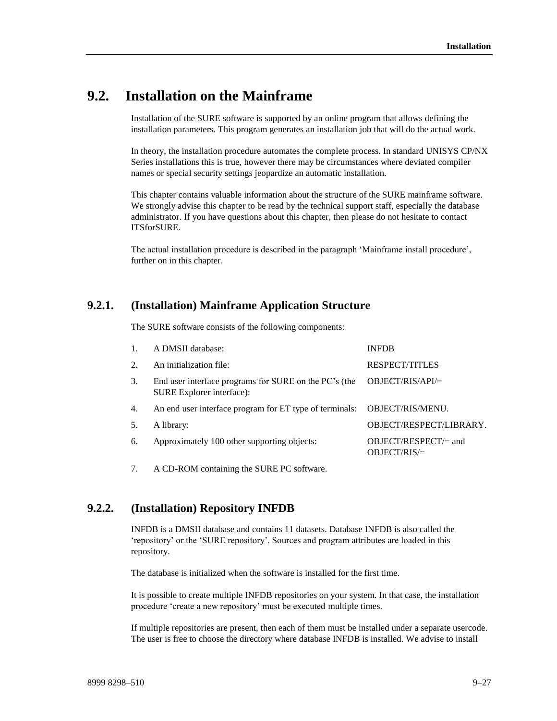# **9.2. Installation on the Mainframe**

Installation of the SURE software is supported by an online program that allows defining the installation parameters. This program generates an installation job that will do the actual work.

In theory, the installation procedure automates the complete process. In standard UNISYS CP/NX Series installations this is true, however there may be circumstances where deviated compiler names or special security settings jeopardize an automatic installation.

This chapter contains valuable information about the structure of the SURE mainframe software. We strongly advise this chapter to be read by the technical support staff, especially the database administrator. If you have questions about this chapter, then please do not hesitate to contact ITSforSURE.

The actual installation procedure is described in the paragraph 'Mainframe install procedure', further on in this chapter.

# **9.2.1. (Installation) Mainframe Application Structure**

The SURE software consists of the following components:

|    | A DMSII database:                                                                  | <b>INFDB</b>                              |
|----|------------------------------------------------------------------------------------|-------------------------------------------|
|    | An initialization file:                                                            | <b>RESPECT/TITLES</b>                     |
| 3. | End user interface programs for SURE on the PC's (the<br>SURE Explorer interface): | $OBIECT/RI S/API =$                       |
| 4. | An end user interface program for ET type of terminals: OBJECT/RIS/MENU.           |                                           |
|    | A library:                                                                         | OBJECT/RESPECT/LIBRARY.                   |
| 6. | Approximately 100 other supporting objects:                                        | $OBJECT/RESPECT/ = and$<br>$OBIECT/RIS =$ |

7. A CD-ROM containing the SURE PC software.

# **9.2.2. (Installation) Repository INFDB**

INFDB is a DMSII database and contains 11 datasets. Database INFDB is also called the 'repository' or the 'SURE repository'. Sources and program attributes are loaded in this repository.

The database is initialized when the software is installed for the first time.

It is possible to create multiple INFDB repositories on your system. In that case, the installation procedure 'create a new repository' must be executed multiple times.

If multiple repositories are present, then each of them must be installed under a separate usercode. The user is free to choose the directory where database INFDB is installed. We advise to install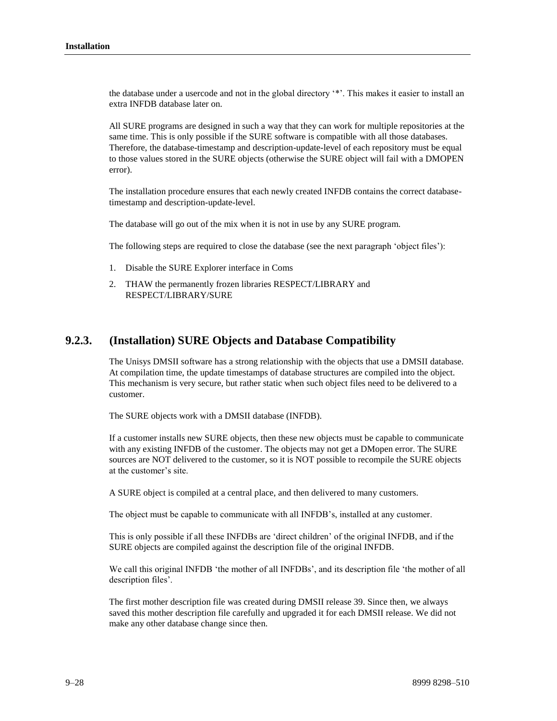the database under a usercode and not in the global directory '\*'. This makes it easier to install an extra INFDB database later on.

All SURE programs are designed in such a way that they can work for multiple repositories at the same time. This is only possible if the SURE software is compatible with all those databases. Therefore, the database-timestamp and description-update-level of each repository must be equal to those values stored in the SURE objects (otherwise the SURE object will fail with a DMOPEN error).

The installation procedure ensures that each newly created INFDB contains the correct databasetimestamp and description-update-level.

The database will go out of the mix when it is not in use by any SURE program.

The following steps are required to close the database (see the next paragraph 'object files'):

- 1. Disable the SURE Explorer interface in Coms
- 2. THAW the permanently frozen libraries RESPECT/LIBRARY and RESPECT/LIBRARY/SURE

## **9.2.3. (Installation) SURE Objects and Database Compatibility**

The Unisys DMSII software has a strong relationship with the objects that use a DMSII database. At compilation time, the update timestamps of database structures are compiled into the object. This mechanism is very secure, but rather static when such object files need to be delivered to a customer.

The SURE objects work with a DMSII database (INFDB).

If a customer installs new SURE objects, then these new objects must be capable to communicate with any existing INFDB of the customer. The objects may not get a DMopen error. The SURE sources are NOT delivered to the customer, so it is NOT possible to recompile the SURE objects at the customer's site.

A SURE object is compiled at a central place, and then delivered to many customers.

The object must be capable to communicate with all INFDB's, installed at any customer.

This is only possible if all these INFDBs are 'direct children' of the original INFDB, and if the SURE objects are compiled against the description file of the original INFDB.

We call this original INFDB 'the mother of all INFDBs', and its description file 'the mother of all description files'.

The first mother description file was created during DMSII release 39. Since then, we always saved this mother description file carefully and upgraded it for each DMSII release. We did not make any other database change since then.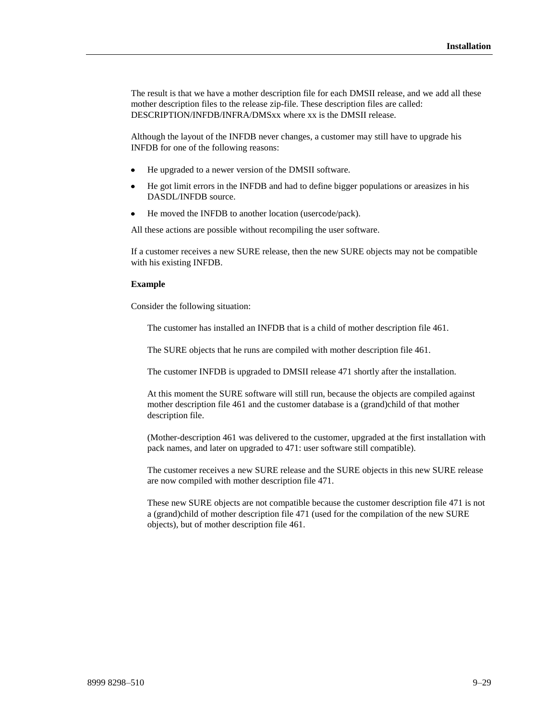The result is that we have a mother description file for each DMSII release, and we add all these mother description files to the release zip-file. These description files are called: DESCRIPTION/INFDB/INFRA/DMSxx where xx is the DMSII release.

Although the layout of the INFDB never changes, a customer may still have to upgrade his INFDB for one of the following reasons:

- He upgraded to a newer version of the DMSII software.
- $\bullet$ He got limit errors in the INFDB and had to define bigger populations or areasizes in his DASDL/INFDB source.
- He moved the INFDB to another location (usercode/pack).

All these actions are possible without recompiling the user software.

If a customer receives a new SURE release, then the new SURE objects may not be compatible with his existing INFDB.

#### **Example**

Consider the following situation:

The customer has installed an INFDB that is a child of mother description file 461.

The SURE objects that he runs are compiled with mother description file 461.

The customer INFDB is upgraded to DMSII release 471 shortly after the installation.

At this moment the SURE software will still run, because the objects are compiled against mother description file 461 and the customer database is a (grand)child of that mother description file.

(Mother-description 461 was delivered to the customer, upgraded at the first installation with pack names, and later on upgraded to 471: user software still compatible).

The customer receives a new SURE release and the SURE objects in this new SURE release are now compiled with mother description file 471.

These new SURE objects are not compatible because the customer description file 471 is not a (grand)child of mother description file 471 (used for the compilation of the new SURE objects), but of mother description file 461.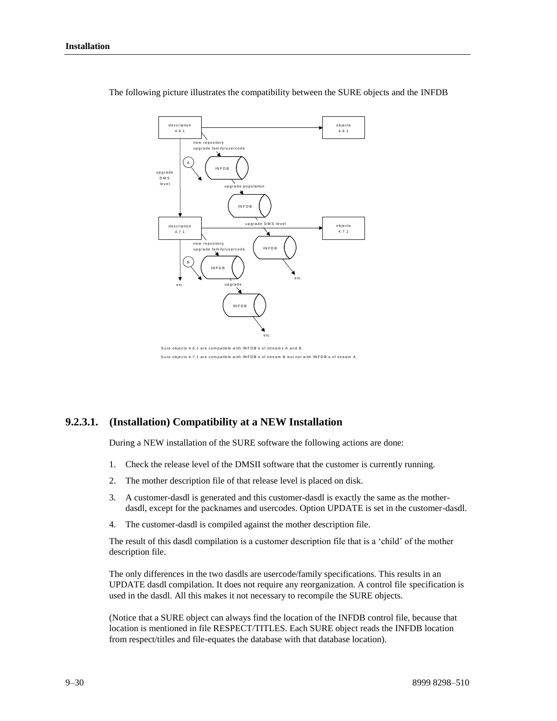

The following picture illustrates the compatibility between the SURE objects and the INFDB

### **9.2.3.1. (Installation) Compatibility at a NEW Installation**

During a NEW installation of the SURE software the following actions are done:

- 1. Check the release level of the DMSII software that the customer is currently running.
- 2. The mother description file of that release level is placed on disk.
- 3. A customer-dasdl is generated and this customer-dasdl is exactly the same as the motherdasdl, except for the packnames and usercodes. Option UPDATE is set in the customer-dasdl.
- 4. The customer-dasdl is compiled against the mother description file.

The result of this dasdl compilation is a customer description file that is a 'child' of the mother description file.

The only differences in the two dasdls are usercode/family specifications. This results in an UPDATE dasdl compilation. It does not require any reorganization. A control file specification is used in the dasdl. All this makes it not necessary to recompile the SURE objects.

(Notice that a SURE object can always find the location of the INFDB control file, because that location is mentioned in file RESPECT/TITLES. Each SURE object reads the INFDB location from respect/titles and file-equates the database with that database location).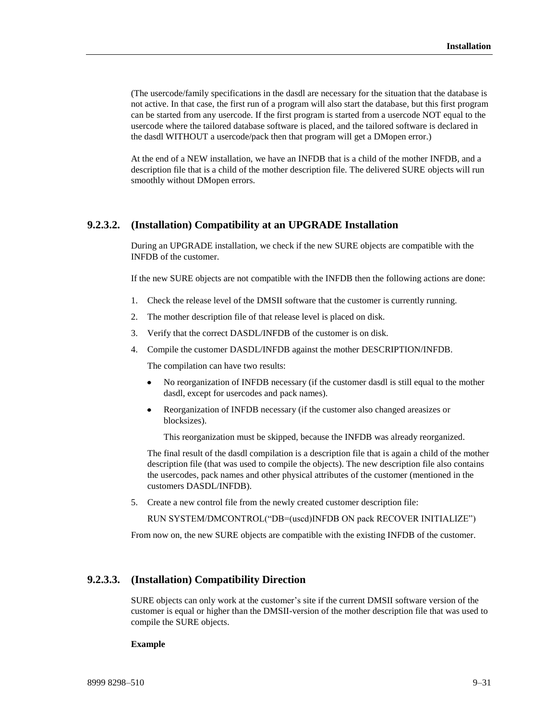(The usercode/family specifications in the dasdl are necessary for the situation that the database is not active. In that case, the first run of a program will also start the database, but this first program can be started from any usercode. If the first program is started from a usercode NOT equal to the usercode where the tailored database software is placed, and the tailored software is declared in the dasdl WITHOUT a usercode/pack then that program will get a DMopen error.)

At the end of a NEW installation, we have an INFDB that is a child of the mother INFDB, and a description file that is a child of the mother description file. The delivered SURE objects will run smoothly without DMopen errors.

### **9.2.3.2. (Installation) Compatibility at an UPGRADE Installation**

During an UPGRADE installation, we check if the new SURE objects are compatible with the INFDB of the customer.

If the new SURE objects are not compatible with the INFDB then the following actions are done:

- 1. Check the release level of the DMSII software that the customer is currently running.
- 2. The mother description file of that release level is placed on disk.
- 3. Verify that the correct DASDL/INFDB of the customer is on disk.
- 4. Compile the customer DASDL/INFDB against the mother DESCRIPTION/INFDB.

The compilation can have two results:

- No reorganization of INFDB necessary (if the customer dasdl is still equal to the mother  $\bullet$ dasdl, except for usercodes and pack names).
- Reorganization of INFDB necessary (if the customer also changed areasizes or blocksizes).

This reorganization must be skipped, because the INFDB was already reorganized.

The final result of the dasdl compilation is a description file that is again a child of the mother description file (that was used to compile the objects). The new description file also contains the usercodes, pack names and other physical attributes of the customer (mentioned in the customers DASDL/INFDB).

5. Create a new control file from the newly created customer description file:

RUN SYSTEM/DMCONTROL("DB=(uscd)INFDB ON pack RECOVER INITIALIZE")

From now on, the new SURE objects are compatible with the existing INFDB of the customer.

#### **9.2.3.3. (Installation) Compatibility Direction**

SURE objects can only work at the customer's site if the current DMSII software version of the customer is equal or higher than the DMSII-version of the mother description file that was used to compile the SURE objects.

#### **Example**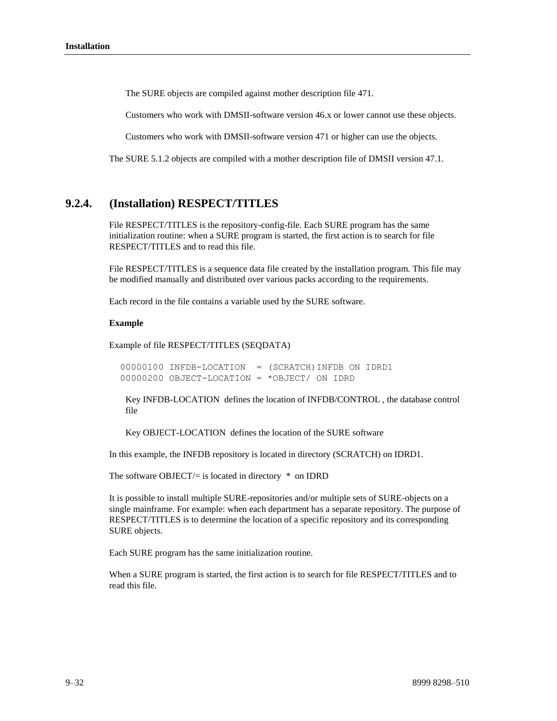The SURE objects are compiled against mother description file 471.

Customers who work with DMSII-software version 46.x or lower cannot use these objects.

Customers who work with DMSII-software version 471 or higher can use the objects.

The SURE 5.1.2 objects are compiled with a mother description file of DMSII version 47.1.

# **9.2.4. (Installation) RESPECT/TITLES**

File RESPECT/TITLES is the repository-config-file. Each SURE program has the same initialization routine: when a SURE program is started, the first action is to search for file RESPECT/TITLES and to read this file.

File RESPECT/TITLES is a sequence data file created by the installation program. This file may be modified manually and distributed over various packs according to the requirements.

Each record in the file contains a variable used by the SURE software.

#### **Example**

Example of file RESPECT/TITLES (SEQDATA)

00000100 INFDB-LOCATION = (SCRATCH)INFDB ON IDRD1 00000200 OBJECT-LOCATION = \*OBJECT/ ON IDRD

Key INFDB-LOCATION defines the location of INFDB/CONTROL , the database control file

Key OBJECT-LOCATION defines the location of the SURE software

In this example, the INFDB repository is located in directory (SCRATCH) on IDRD1.

The software OBJECT $/=$  is located in directory  $*$  on IDRD

It is possible to install multiple SURE-repositories and/or multiple sets of SURE-objects on a single mainframe. For example: when each department has a separate repository. The purpose of RESPECT/TITLES is to determine the location of a specific repository and its corresponding SURE objects.

Each SURE program has the same initialization routine.

When a SURE program is started, the first action is to search for file RESPECT/TITLES and to read this file.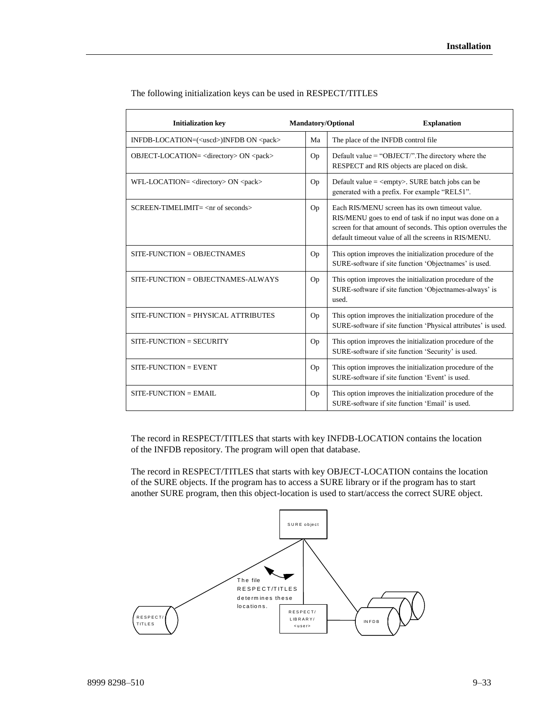| <b>Initialization key</b>                                 | <b>Mandatory/Optional</b> | <b>Explanation</b>                                                                                                                                                                                                                 |
|-----------------------------------------------------------|---------------------------|------------------------------------------------------------------------------------------------------------------------------------------------------------------------------------------------------------------------------------|
| INFDB-LOCATION=( <uscd>)INFDB ON <pack></pack></uscd>     | Ma                        | The place of the INFDB control file                                                                                                                                                                                                |
| OBJECT-LOCATION= <directory> ON <pack></pack></directory> | Op                        | Default value = "OBJECT/". The directory where the<br>RESPECT and RIS objects are placed on disk.                                                                                                                                  |
| WFL-LOCATION= <directory> ON <pack></pack></directory>    | Op                        | Default value $=$ <empty>. SURE batch jobs can be<br/>generated with a prefix. For example "REL51".</empty>                                                                                                                        |
| $SCREEN-TIMELMIT = < nr$ of seconds>                      | Op                        | Each RIS/MENU screen has its own timeout value.<br>RIS/MENU goes to end of task if no input was done on a<br>screen for that amount of seconds. This option overrules the<br>default timeout value of all the screens in RIS/MENU. |
| $SITE-FUNCITION = OBIECTNAMES$                            | Op                        | This option improves the initialization procedure of the<br>SURE-software if site function 'Objectnames' is used.                                                                                                                  |
| $SITE-FUNCITION = OBJECTNAMES-ALWAYS$                     | Op                        | This option improves the initialization procedure of the<br>SURE-software if site function 'Objectnames-always' is<br>used.                                                                                                        |
| SITE-FUNCTION = PHYSICAL ATTRIBUTES                       | Op                        | This option improves the initialization procedure of the<br>SURE-software if site function 'Physical attributes' is used.                                                                                                          |
| $SITE$ -FUNCTION = $SECURITY$                             | Op                        | This option improves the initialization procedure of the<br>SURE-software if site function 'Security' is used.                                                                                                                     |
| $SITE-FUNCITION = EVENT$                                  | Op                        | This option improves the initialization procedure of the<br>SURE-software if site function 'Event' is used.                                                                                                                        |
| $SITE$ -FUNCTION = EMAIL                                  | Op                        | This option improves the initialization procedure of the<br>SURE-software if site function 'Email' is used.                                                                                                                        |

The following initialization keys can be used in RESPECT/TITLES

The record in RESPECT/TITLES that starts with key INFDB-LOCATION contains the location of the INFDB repository. The program will open that database.

The record in RESPECT/TITLES that starts with key OBJECT-LOCATION contains the location of the SURE objects. If the program has to access a SURE library or if the program has to start another SURE program, then this object-location is used to start/access the correct SURE object.

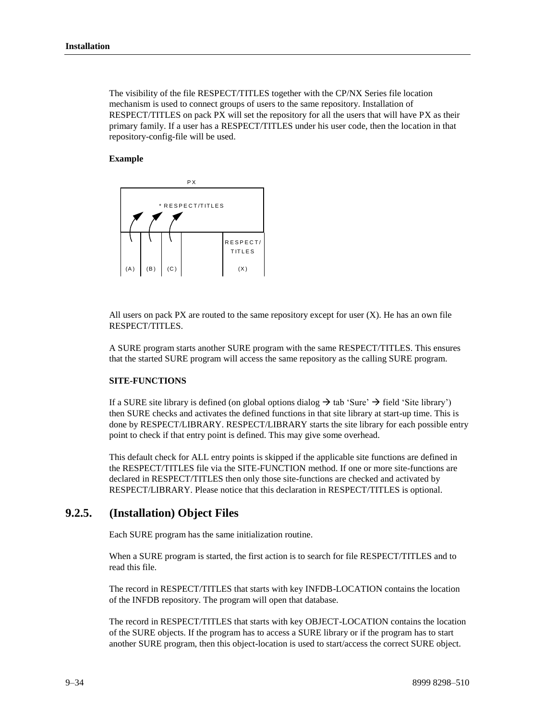The visibility of the file RESPECT/TITLES together with the CP/NX Series file location mechanism is used to connect groups of users to the same repository. Installation of RESPECT/TITLES on pack PX will set the repository for all the users that will have PX as their primary family. If a user has a RESPECT/TITLES under his user code, then the location in that repository-config-file will be used.

#### **Example**



All users on pack PX are routed to the same repository except for user  $(X)$ . He has an own file RESPECT/TITLES.

A SURE program starts another SURE program with the same RESPECT/TITLES. This ensures that the started SURE program will access the same repository as the calling SURE program.

### **SITE-FUNCTIONS**

If a SURE site library is defined (on global options dialog  $\rightarrow$  tab 'Sure'  $\rightarrow$  field 'Site library') then SURE checks and activates the defined functions in that site library at start-up time. This is done by RESPECT/LIBRARY. RESPECT/LIBRARY starts the site library for each possible entry point to check if that entry point is defined. This may give some overhead.

This default check for ALL entry points is skipped if the applicable site functions are defined in the RESPECT/TITLES file via the SITE-FUNCTION method. If one or more site-functions are declared in RESPECT/TITLES then only those site-functions are checked and activated by RESPECT/LIBRARY. Please notice that this declaration in RESPECT/TITLES is optional.

### **9.2.5. (Installation) Object Files**

Each SURE program has the same initialization routine.

When a SURE program is started, the first action is to search for file RESPECT/TITLES and to read this file.

The record in RESPECT/TITLES that starts with key INFDB-LOCATION contains the location of the INFDB repository. The program will open that database.

The record in RESPECT/TITLES that starts with key OBJECT-LOCATION contains the location of the SURE objects. If the program has to access a SURE library or if the program has to start another SURE program, then this object-location is used to start/access the correct SURE object.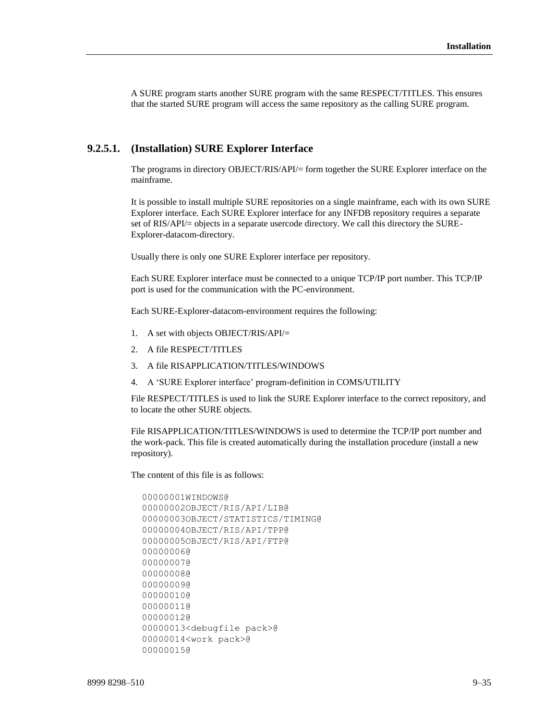A SURE program starts another SURE program with the same RESPECT/TITLES. This ensures that the started SURE program will access the same repository as the calling SURE program.

#### **9.2.5.1. (Installation) SURE Explorer Interface**

The programs in directory OBJECT/RIS/API/= form together the SURE Explorer interface on the mainframe.

It is possible to install multiple SURE repositories on a single mainframe, each with its own SURE Explorer interface. Each SURE Explorer interface for any INFDB repository requires a separate set of RIS/API/= objects in a separate usercode directory. We call this directory the SURE-Explorer-datacom-directory.

Usually there is only one SURE Explorer interface per repository.

Each SURE Explorer interface must be connected to a unique TCP/IP port number. This TCP/IP port is used for the communication with the PC-environment.

Each SURE-Explorer-datacom-environment requires the following:

- 1. A set with objects OBJECT/RIS/API/=
- 2. A file RESPECT/TITLES
- 3. A file RISAPPLICATION/TITLES/WINDOWS
- 4. A 'SURE Explorer interface' program-definition in COMS/UTILITY

File RESPECT/TITLES is used to link the SURE Explorer interface to the correct repository, and to locate the other SURE objects.

File RISAPPLICATION/TITLES/WINDOWS is used to determine the TCP/IP port number and the work-pack. This file is created automatically during the installation procedure (install a new repository).

The content of this file is as follows:

```
00000001WINDOWS@
00000002OBJECT/RIS/API/LIB@
00000003OBJECT/STATISTICS/TIMING@
00000004OBJECT/RIS/API/TPP@
00000005OBJECT/RIS/API/FTP@
00000006@
00000007@
00000008@
00000009@
00000010@
00000011@
00000012@
00000013<debugfile pack>@
00000014<work pack>@
00000015@
```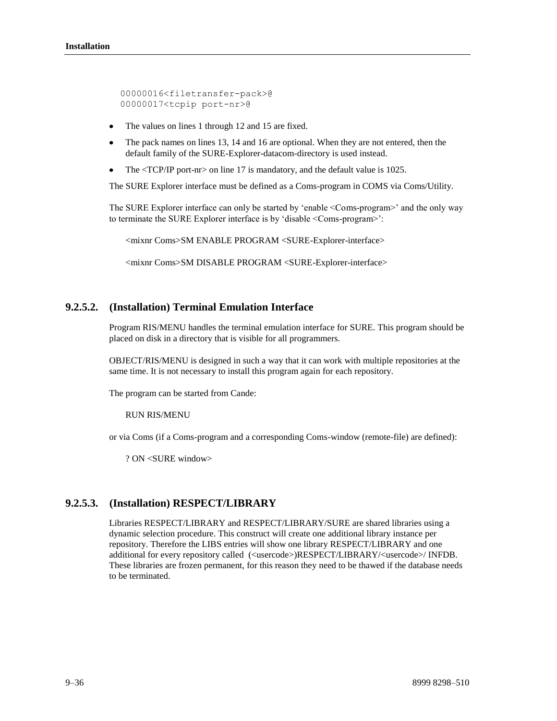00000016<filetransfer-pack>@ 00000017<tcpip port-nr>@

- The values on lines 1 through 12 and 15 are fixed.
- The pack names on lines 13, 14 and 16 are optional. When they are not entered, then the  $\bullet$ default family of the SURE-Explorer-datacom-directory is used instead.
- The <TCP/IP port-nr> on line 17 is mandatory, and the default value is 1025.

The SURE Explorer interface must be defined as a Coms-program in COMS via Coms/Utility.

The SURE Explorer interface can only be started by 'enable <Coms-program>' and the only way to terminate the SURE Explorer interface is by 'disable <Coms-program>':

<mixnr Coms>SM ENABLE PROGRAM <SURE-Explorer-interface>

<mixnr Coms>SM DISABLE PROGRAM <SURE-Explorer-interface>

### **9.2.5.2. (Installation) Terminal Emulation Interface**

Program RIS/MENU handles the terminal emulation interface for SURE. This program should be placed on disk in a directory that is visible for all programmers.

OBJECT/RIS/MENU is designed in such a way that it can work with multiple repositories at the same time. It is not necessary to install this program again for each repository.

The program can be started from Cande:

RUN RIS/MENU

or via Coms (if a Coms-program and a corresponding Coms-window (remote-file) are defined):

? ON <SURE window>

# **9.2.5.3. (Installation) RESPECT/LIBRARY**

Libraries RESPECT/LIBRARY and RESPECT/LIBRARY/SURE are shared libraries using a dynamic selection procedure. This construct will create one additional library instance per repository. Therefore the LIBS entries will show one library RESPECT/LIBRARY and one additional for every repository called (<usercode>)RESPECT/LIBRARY/<usercode>/ INFDB. These libraries are frozen permanent, for this reason they need to be thawed if the database needs to be terminated.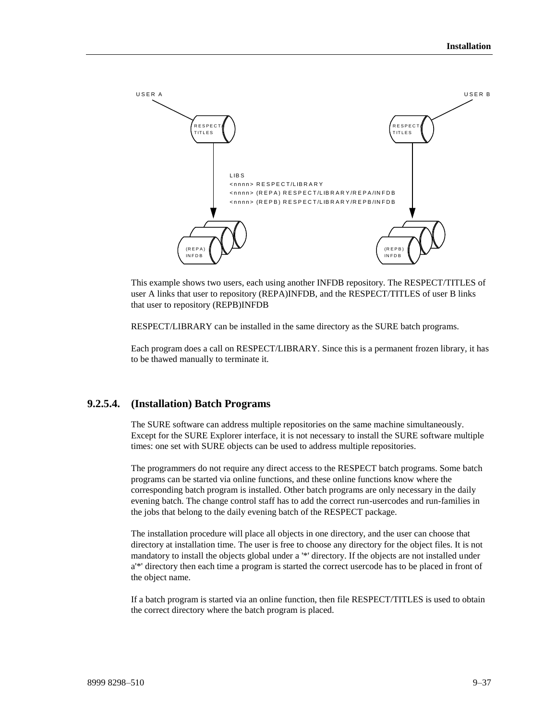

This example shows two users, each using another INFDB repository. The RESPECT/TITLES of user A links that user to repository (REPA)INFDB, and the RESPECT/TITLES of user B links that user to repository (REPB)INFDB

RESPECT/LIBRARY can be installed in the same directory as the SURE batch programs.

Each program does a call on RESPECT/LIBRARY. Since this is a permanent frozen library, it has to be thawed manually to terminate it.

### **9.2.5.4. (Installation) Batch Programs**

The SURE software can address multiple repositories on the same machine simultaneously. Except for the SURE Explorer interface, it is not necessary to install the SURE software multiple times: one set with SURE objects can be used to address multiple repositories.

The programmers do not require any direct access to the RESPECT batch programs. Some batch programs can be started via online functions, and these online functions know where the corresponding batch program is installed. Other batch programs are only necessary in the daily evening batch. The change control staff has to add the correct run-usercodes and run-families in the jobs that belong to the daily evening batch of the RESPECT package.

The installation procedure will place all objects in one directory, and the user can choose that directory at installation time. The user is free to choose any directory for the object files. It is not mandatory to install the objects global under a '\*' directory. If the objects are not installed under a'\*' directory then each time a program is started the correct usercode has to be placed in front of the object name.

If a batch program is started via an online function, then file RESPECT/TITLES is used to obtain the correct directory where the batch program is placed.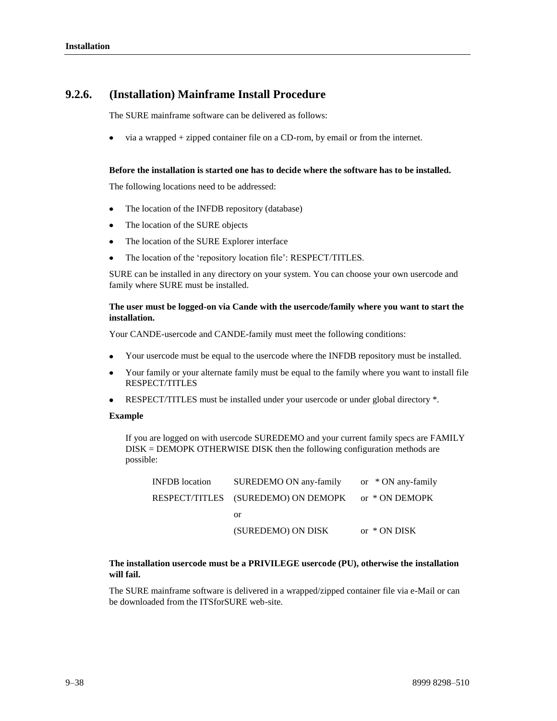# **9.2.6. (Installation) Mainframe Install Procedure**

The SURE mainframe software can be delivered as follows:

via a wrapped + zipped container file on a CD-rom, by email or from the internet.

#### **Before the installation is started one has to decide where the software has to be installed.**

The following locations need to be addressed:

- The location of the INFDB repository (database)
- The location of the SURE objects
- The location of the SURE Explorer interface
- The location of the 'repository location file': RESPECT/TITLES.  $\bullet$

SURE can be installed in any directory on your system. You can choose your own usercode and family where SURE must be installed.

#### **The user must be logged-on via Cande with the usercode/family where you want to start the installation.**

Your CANDE-usercode and CANDE-family must meet the following conditions:

- Your usercode must be equal to the usercode where the INFDB repository must be installed.
- Your family or your alternate family must be equal to the family where you want to install file RESPECT/TITLES
- $\bullet$ RESPECT/TITLES must be installed under your usercode or under global directory \*.

#### **Example**

If you are logged on with usercode SUREDEMO and your current family specs are FAMILY DISK = DEMOPK OTHERWISE DISK then the following configuration methods are possible:

| <b>INFDB</b> location | SUREDEMO ON any-family                             | or $*$ ON any-family |
|-----------------------|----------------------------------------------------|----------------------|
|                       | RESPECT/TITLES (SUREDEMO) ON DEMOPK or * ON DEMOPK |                      |
|                       | or                                                 |                      |
|                       | (SUREDEMO) ON DISK                                 | or $*$ ON DISK       |

### **The installation usercode must be a PRIVILEGE usercode (PU), otherwise the installation will fail.**

The SURE mainframe software is delivered in a wrapped/zipped container file via e-Mail or can be downloaded from the ITSforSURE web-site.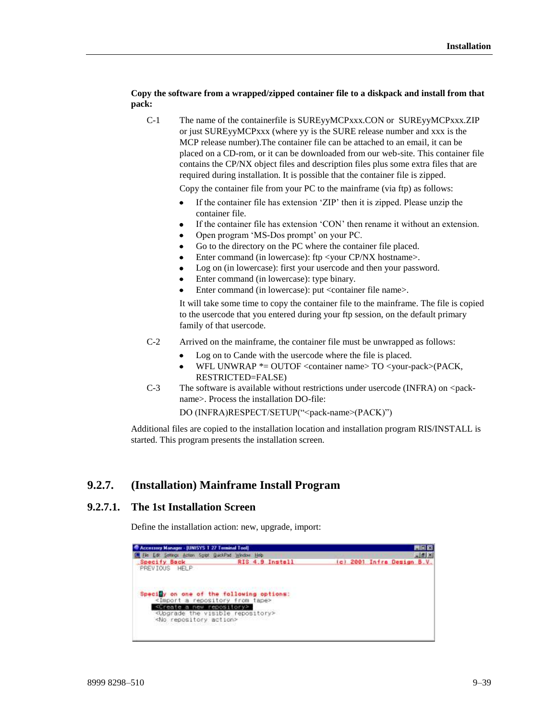### **Copy the software from a wrapped/zipped container file to a diskpack and install from that pack:**

C-1 The name of the containerfile is SUREyyMCPxxx.CON or SUREyyMCPxxx.ZIP or just SUREyyMCPxxx (where yy is the SURE release number and xxx is the MCP release number).The container file can be attached to an email, it can be placed on a CD-rom, or it can be downloaded from our web-site. This container file contains the CP/NX object files and description files plus some extra files that are required during installation. It is possible that the container file is zipped.

Copy the container file from your PC to the mainframe (via ftp) as follows:

- If the container file has extension 'ZIP' then it is zipped. Please unzip the container file.
- If the container file has extension 'CON' then rename it without an extension.
- Open program 'MS-Dos prompt' on your PC.
- Go to the directory on the PC where the container file placed.
- Enter command (in lowercase): ftp <your CP/NX hostname>.
- Log on (in lowercase): first your usercode and then your password.
- Enter command (in lowercase): type binary.
- Enter command (in lowercase): put <container file name>.

It will take some time to copy the container file to the mainframe. The file is copied to the usercode that you entered during your ftp session, on the default primary family of that usercode.

- C-2 Arrived on the mainframe, the container file must be unwrapped as follows:
	- Log on to Cande with the usercode where the file is placed.
	- WFL UNWRAP  $*$ = OUTOF <container name> TO <your-pack>(PACK, RESTRICTED=FALSE)
- C-3 The software is available without restrictions under usercode (INFRA) on <packname>. Process the installation DO-file:

DO (INFRA)RESPECT/SETUP("<pack-name>(PACK)")

Additional files are copied to the installation location and installation program RIS/INSTALL is started. This program presents the installation screen.

# **9.2.7. (Installation) Mainframe Install Program**

### **9.2.7.1. The 1st Installation Screen**

Define the installation action: new, upgrade, import:

| Accessory Manager - [UNISYS T 27 Terminal Tool]       |                                                     |  | 旧图                         |
|-------------------------------------------------------|-----------------------------------------------------|--|----------------------------|
| Elle Edit Settings Action Sgript QuickPad Window Help |                                                     |  | $=$ $2$ $\times$           |
| <b>Specify Back</b>                                   | RIS 4.9 Install                                     |  | (c) 2001 Infra Design B.V. |
| PREVIOUS HELP                                         |                                                     |  |                            |
|                                                       |                                                     |  |                            |
|                                                       |                                                     |  |                            |
|                                                       | Specify on one of the following options:            |  |                            |
| <import a="" from="" repository="" tape=""></import>  |                                                     |  |                            |
| <create a="" new="" repository=""></create>           |                                                     |  |                            |
|                                                       | <upgrade repository="" the="" visible=""></upgrade> |  |                            |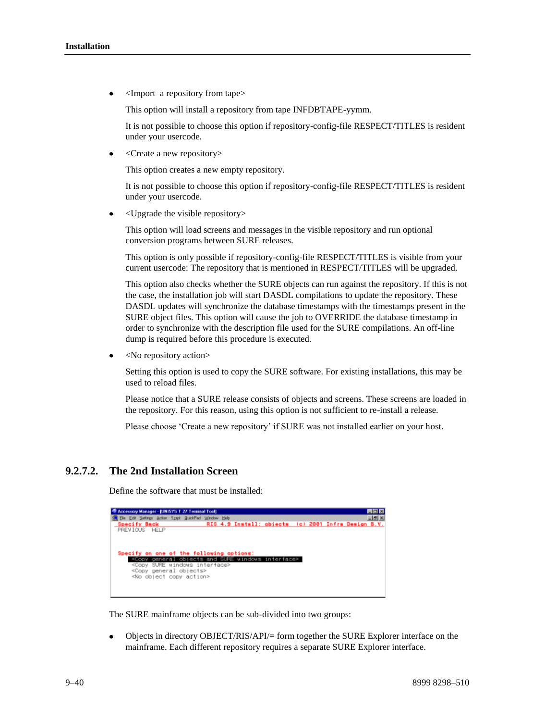<Import a repository from tape>

This option will install a repository from tape INFDBTAPE-yymm.

It is not possible to choose this option if repository-config-file RESPECT/TITLES is resident under your usercode.

<Create a new repository>

This option creates a new empty repository.

It is not possible to choose this option if repository-config-file RESPECT/TITLES is resident under your usercode.

<Upgrade the visible repository>

This option will load screens and messages in the visible repository and run optional conversion programs between SURE releases.

This option is only possible if repository-config-file RESPECT/TITLES is visible from your current usercode: The repository that is mentioned in RESPECT/TITLES will be upgraded.

This option also checks whether the SURE objects can run against the repository. If this is not the case, the installation job will start DASDL compilations to update the repository. These DASDL updates will synchronize the database timestamps with the timestamps present in the SURE object files. This option will cause the job to OVERRIDE the database timestamp in order to synchronize with the description file used for the SURE compilations. An off-line dump is required before this procedure is executed.

<No repository action>

Setting this option is used to copy the SURE software. For existing installations, this may be used to reload files.

Please notice that a SURE release consists of objects and screens. These screens are loaded in the repository. For this reason, using this option is not sufficient to re-install a release.

Please choose 'Create a new repository' if SURE was not installed earlier on your host.

# **9.2.7.2. The 2nd Installation Screen**

Define the software that must be installed:



The SURE mainframe objects can be sub-divided into two groups:

Objects in directory OBJECT/RIS/API/= form together the SURE Explorer interface on the mainframe. Each different repository requires a separate SURE Explorer interface.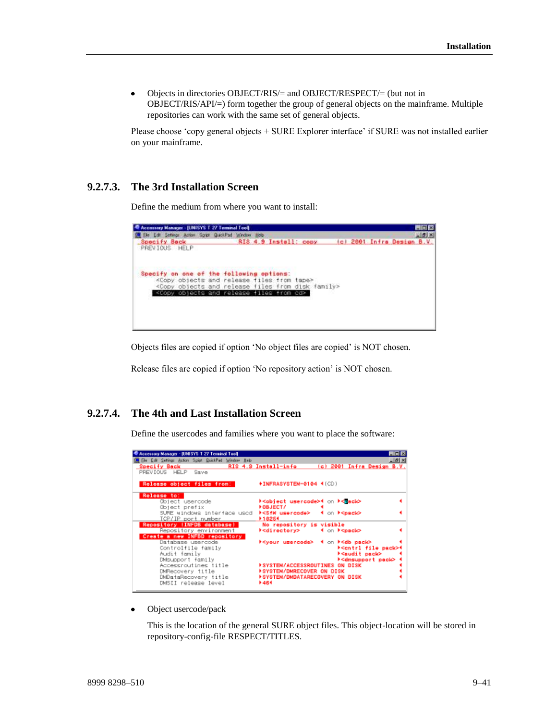Objects in directories OBJECT/RIS/= and OBJECT/RESPECT/= (but not in  $\bullet$ OBJECT/RIS/API/=) form together the group of general objects on the mainframe. Multiple repositories can work with the same set of general objects.

Please choose 'copy general objects + SURE Explorer interface' if SURE was not installed earlier on your mainframe.

# **9.2.7.3. The 3rd Installation Screen**

Define the medium from where you want to install:



Objects files are copied if option 'No object files are copied' is NOT chosen.

Release files are copied if option 'No repository action' is NOT chosen.

### **9.2.7.4. The 4th and Last Installation Screen**

Define the usercodes and families where you want to place the software:

| R Accessory Manager - (UNISYS T 27 Terminal Tool)    |                                                                           | <b>HOM</b>   |
|------------------------------------------------------|---------------------------------------------------------------------------|--------------|
| File Edit Settings Action Spipt QuickPad Window Help | RIS 4.9 Install-info<br>(c) 2001 Infra Design B.V.                        | $-10 \times$ |
| Specify Back <b>Specify</b><br>PREVIOUS HELP Save    |                                                                           |              |
| Release object files from:                           | <b>+INFRASYSTEM-0104 (ICD)</b>                                            |              |
|                                                      |                                                                           |              |
| Release to:                                          |                                                                           |              |
| Object usercode<br>Object prefix                     | ⊁ <object usercode="">4 on ⊩<mack><br/><b>FOBJECT/</b></mack></object>    |              |
| SURE windows interface used                          | <b>▶<sfw usercode=""> 4 on ▶<pack></pack></sfw></b>                       |              |
| TCP/IP port number                                   | ▶10254                                                                    |              |
| Repository (INFDB database)                          | No repository is visible                                                  |              |
| Repository environment                               | ⊁ <directory> + on ⊁<pack></pack></directory>                             |              |
| Create a new INFBD repository<br>Database usercode   | <b>▶<your usercode=""> 4 on ▶<db pack=""></db></your></b>                 |              |
| Controlfile family                                   | ⊁ <cntrl file="" pack="">4</cntrl>                                        |              |
| Audit family                                         | kaudit pack>                                                              |              |
| DMSUpport family                                     | ⊁ <dmsupport pack=""> 4</dmsupport>                                       |              |
| Accessroutines title                                 | <b>FSYSTEM/ACCESSROUTINES ON DISK</b>                                     |              |
| DMRecovery title<br>DMDataRecovery title             | <b>FSYSTEM/DMRECOVER ON DISK</b><br><b>FSYSTEM/DMDATARECOVERY ON DISK</b> |              |
| DMSII release level                                  | 1464                                                                      |              |
|                                                      |                                                                           |              |

Object usercode/pack

This is the location of the general SURE object files. This object-location will be stored in repository-config-file RESPECT/TITLES.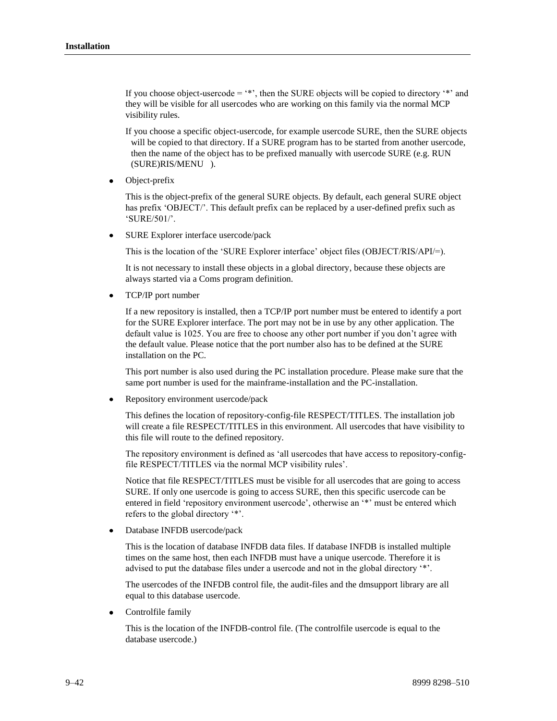If you choose object-usercode  $=$  '\*', then the SURE objects will be copied to directory '\*' and they will be visible for all usercodes who are working on this family via the normal MCP visibility rules.

If you choose a specific object-usercode, for example usercode SURE, then the SURE objects will be copied to that directory. If a SURE program has to be started from another usercode, then the name of the object has to be prefixed manually with usercode SURE (e.g. RUN (SURE)RIS/MENU ).

Object-prefix

This is the object-prefix of the general SURE objects. By default, each general SURE object has prefix 'OBJECT/'. This default prefix can be replaced by a user-defined prefix such as 'SURE/501/'.

SURE Explorer interface usercode/pack

This is the location of the 'SURE Explorer interface' object files (OBJECT/RIS/API/=).

It is not necessary to install these objects in a global directory, because these objects are always started via a Coms program definition.

TCP/IP port number

If a new repository is installed, then a TCP/IP port number must be entered to identify a port for the SURE Explorer interface. The port may not be in use by any other application. The default value is 1025. You are free to choose any other port number if you don't agree with the default value. Please notice that the port number also has to be defined at the SURE installation on the PC.

This port number is also used during the PC installation procedure. Please make sure that the same port number is used for the mainframe-installation and the PC-installation.

Repository environment usercode/pack

This defines the location of repository-config-file RESPECT/TITLES. The installation job will create a file RESPECT/TITLES in this environment. All usercodes that have visibility to this file will route to the defined repository.

The repository environment is defined as 'all usercodes that have access to repository-configfile RESPECT/TITLES via the normal MCP visibility rules'.

Notice that file RESPECT/TITLES must be visible for all usercodes that are going to access SURE. If only one usercode is going to access SURE, then this specific usercode can be entered in field 'repository environment usercode', otherwise an '\*' must be entered which refers to the global directory '\*'.

Database INFDB usercode/pack

This is the location of database INFDB data files. If database INFDB is installed multiple times on the same host, then each INFDB must have a unique usercode. Therefore it is advised to put the database files under a usercode and not in the global directory '\*'.

The usercodes of the INFDB control file, the audit-files and the dmsupport library are all equal to this database usercode.

 $\bullet$ Controlfile family

> This is the location of the INFDB-control file. (The controlfile usercode is equal to the database usercode.)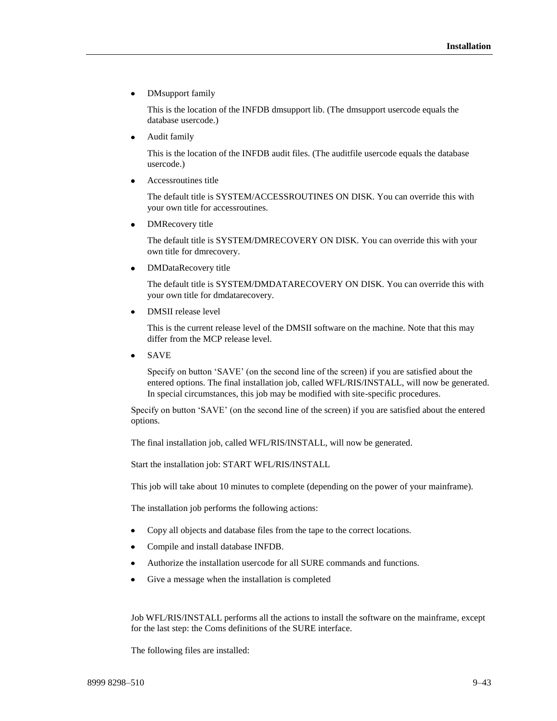DMsupport family

This is the location of the INFDB dmsupport lib. (The dmsupport usercode equals the database usercode.)

Audit family

This is the location of the INFDB audit files. (The auditfile usercode equals the database usercode.)

Accessroutines title

The default title is SYSTEM/ACCESSROUTINES ON DISK. You can override this with your own title for accessroutines.

 $\bullet$ DMRecovery title

> The default title is SYSTEM/DMRECOVERY ON DISK. You can override this with your own title for dmrecovery.

 $\bullet$ DMDataRecovery title

> The default title is SYSTEM/DMDATARECOVERY ON DISK. You can override this with your own title for dmdatarecovery.

DMSII release level  $\bullet$ 

> This is the current release level of the DMSII software on the machine. Note that this may differ from the MCP release level.

SAVE

Specify on button 'SAVE' (on the second line of the screen) if you are satisfied about the entered options. The final installation job, called WFL/RIS/INSTALL, will now be generated. In special circumstances, this job may be modified with site-specific procedures.

Specify on button 'SAVE' (on the second line of the screen) if you are satisfied about the entered options.

The final installation job, called WFL/RIS/INSTALL, will now be generated.

Start the installation job: START WFL/RIS/INSTALL

This job will take about 10 minutes to complete (depending on the power of your mainframe).

The installation job performs the following actions:

- Copy all objects and database files from the tape to the correct locations.
- Compile and install database INFDB.  $\bullet$
- Authorize the installation usercode for all SURE commands and functions.
- Give a message when the installation is completed

Job WFL/RIS/INSTALL performs all the actions to install the software on the mainframe, except for the last step: the Coms definitions of the SURE interface.

The following files are installed: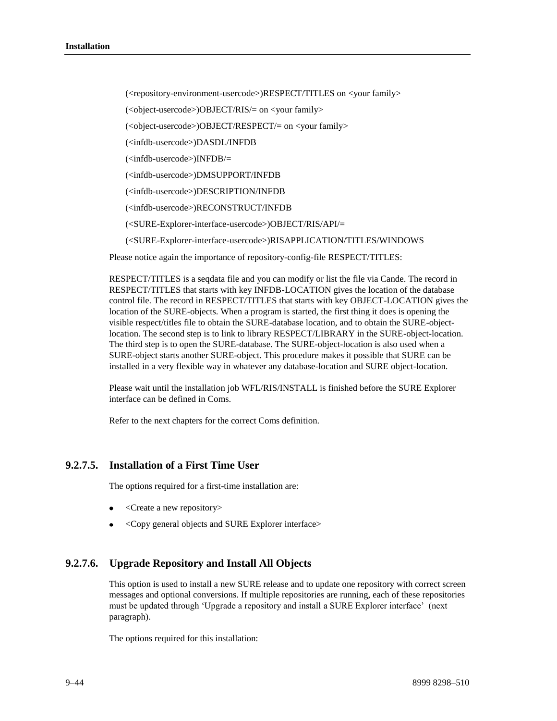(<repository-environment-usercode>)RESPECT/TITLES on <your family>

- (<object-usercode>)OBJECT/RIS/= on <your family>
- (<object-usercode>)OBJECT/RESPECT/= on <your family>
- (<infdb-usercode>)DASDL/INFDB
- (<infdb-usercode>)INFDB/=
- (<infdb-usercode>)DMSUPPORT/INFDB
- (<infdb-usercode>)DESCRIPTION/INFDB
- (<infdb-usercode>)RECONSTRUCT/INFDB
- (<SURE-Explorer-interface-usercode>)OBJECT/RIS/API/=
- (<SURE-Explorer-interface-usercode>)RISAPPLICATION/TITLES/WINDOWS

Please notice again the importance of repository-config-file RESPECT/TITLES:

RESPECT/TITLES is a seqdata file and you can modify or list the file via Cande. The record in RESPECT/TITLES that starts with key INFDB-LOCATION gives the location of the database control file. The record in RESPECT/TITLES that starts with key OBJECT-LOCATION gives the location of the SURE-objects. When a program is started, the first thing it does is opening the visible respect/titles file to obtain the SURE-database location, and to obtain the SURE-objectlocation. The second step is to link to library RESPECT/LIBRARY in the SURE-object-location. The third step is to open the SURE-database. The SURE-object-location is also used when a SURE-object starts another SURE-object. This procedure makes it possible that SURE can be installed in a very flexible way in whatever any database-location and SURE object-location.

Please wait until the installation job WFL/RIS/INSTALL is finished before the SURE Explorer interface can be defined in Coms.

Refer to the next chapters for the correct Coms definition.

# **9.2.7.5. Installation of a First Time User**

The options required for a first-time installation are:

- <Create a new repository>
- <Copy general objects and SURE Explorer interface>

# **9.2.7.6. Upgrade Repository and Install All Objects**

This option is used to install a new SURE release and to update one repository with correct screen messages and optional conversions. If multiple repositories are running, each of these repositories must be updated through 'Upgrade a repository and install a SURE Explorer interface' (next paragraph).

The options required for this installation: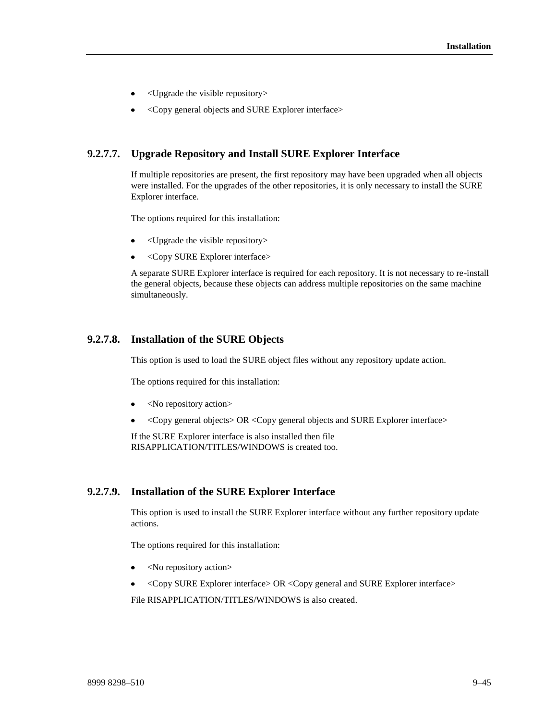- <Upgrade the visible repository>
- <Copy general objects and SURE Explorer interface>

### **9.2.7.7. Upgrade Repository and Install SURE Explorer Interface**

If multiple repositories are present, the first repository may have been upgraded when all objects were installed. For the upgrades of the other repositories, it is only necessary to install the SURE Explorer interface.

The options required for this installation:

- <Upgrade the visible repository>
- <Copy SURE Explorer interface>  $\bullet$

A separate SURE Explorer interface is required for each repository. It is not necessary to re-install the general objects, because these objects can address multiple repositories on the same machine simultaneously.

### **9.2.7.8. Installation of the SURE Objects**

This option is used to load the SURE object files without any repository update action.

The options required for this installation:

- <No repository action>
- <Copy general objects> OR <Copy general objects and SURE Explorer interface>

If the SURE Explorer interface is also installed then file RISAPPLICATION/TITLES/WINDOWS is created too.

### **9.2.7.9. Installation of the SURE Explorer Interface**

This option is used to install the SURE Explorer interface without any further repository update actions.

The options required for this installation:

- $\bullet$  <No repository action>
- <Copy SURE Explorer interface> OR <Copy general and SURE Explorer interface>  $\bullet$

File RISAPPLICATION/TITLES/WINDOWS is also created.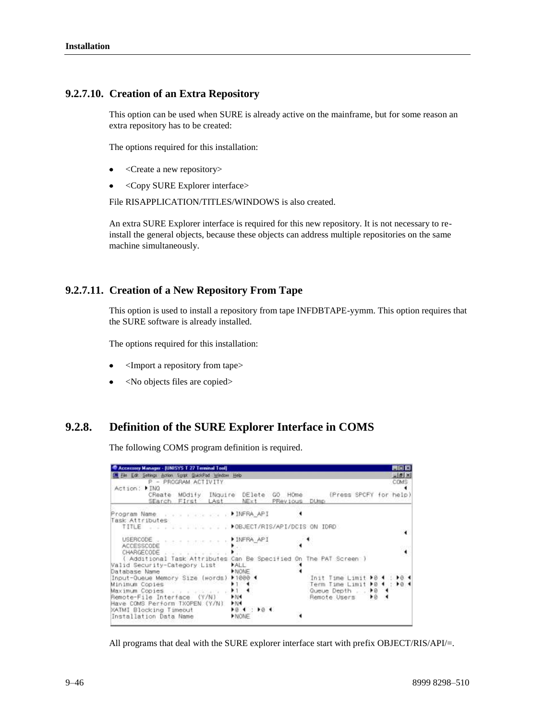### **9.2.7.10. Creation of an Extra Repository**

This option can be used when SURE is already active on the mainframe, but for some reason an extra repository has to be created:

The options required for this installation:

- <Create a new repository>
- <Copy SURE Explorer interface>

File RISAPPLICATION/TITLES/WINDOWS is also created.

An extra SURE Explorer interface is required for this new repository. It is not necessary to reinstall the general objects, because these objects can address multiple repositories on the same machine simultaneously.

### **9.2.7.11. Creation of a New Repository From Tape**

This option is used to install a repository from tape INFDBTAPE-yymm. This option requires that the SURE software is already installed.

The options required for this installation:

- <Import a repository from tape>
- <No objects files are copied>

# **9.2.8. Definition of the SURE Explorer Interface in COMS**

The following COMS program definition is required.

| Accessory Manager - [UNISYS T 27 Terminal Tool]<br>File Edit Settings Action Spript QuickPad Window Help<br>P - PROGRAM ACTIVITY<br>Action: FING<br>CReate MOdify INquire DElete GO HOme<br>SEarch First LAst | NExt                                                     | PRevious DUmp |                                                                   | 門同窗<br>$=$ $ d  \times$<br>COMS:<br>(Press SPCFY for help)          |
|---------------------------------------------------------------------------------------------------------------------------------------------------------------------------------------------------------------|----------------------------------------------------------|---------------|-------------------------------------------------------------------|---------------------------------------------------------------------|
| Program Name (contractor) ▶ INFRA_API<br>Task Attributes<br>TITLE DOBJECT/RIS/API/DCIS ON IDRO                                                                                                                |                                                          |               |                                                                   |                                                                     |
| USERCODE<br>base same eas s<br>ACCESSCODE<br>CHARGECODE<br>Additional Task Attributes Can Be Specified On The PAT Screen )<br>Valid Security-Category List                                                    | INFRA API<br>ALL.                                        |               |                                                                   |                                                                     |
| Database Name<br>Input-Queue Memory Size (words)<br>Minimum Copies<br>Maximum Copies<br>Remote-File Interface (Y/N)<br>Have COMS Perform TXOPEN (Y/N)                                                         | NONE<br>$1000 - 1$<br>$+1.4$<br>$+1$<br>P N 1<br>$-32 -$ |               | Init Time Limit<br>Term Time Limit<br>Queue Depth<br>Remote Users | $\blacktriangleright$ $\varnothing$<br>$\bullet$<br>$\bullet$<br>▶ĕ |
| XATMI Blocking Timeout<br>Installation Data Name                                                                                                                                                              | 104 : 104<br><b>NONE</b>                                 |               |                                                                   |                                                                     |

All programs that deal with the SURE explorer interface start with prefix OBJECT/RIS/API/=.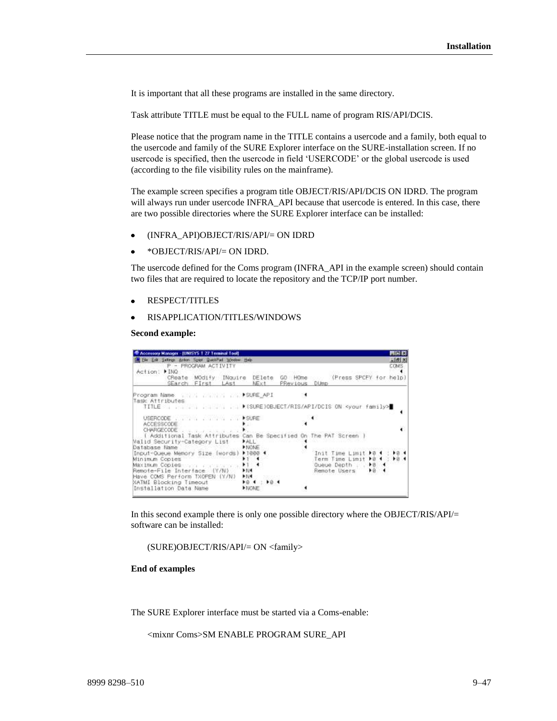It is important that all these programs are installed in the same directory.

Task attribute TITLE must be equal to the FULL name of program RIS/API/DCIS.

Please notice that the program name in the TITLE contains a usercode and a family, both equal to the usercode and family of the SURE Explorer interface on the SURE-installation screen. If no usercode is specified, then the usercode in field 'USERCODE' or the global usercode is used (according to the file visibility rules on the mainframe).

The example screen specifies a program title OBJECT/RIS/API/DCIS ON IDRD. The program will always run under usercode INFRA\_API because that usercode is entered. In this case, there are two possible directories where the SURE Explorer interface can be installed:

- (INFRA\_API)OBJECT/RIS/API/= ON IDRD
- \*OBJECT/RIS/API/= ON IDRD.

The usercode defined for the Coms program (INFRA\_API in the example screen) should contain two files that are required to locate the repository and the TCP/IP port number.

- RESPECT/TITLES
- RISAPPLICATION/TITLES/WINDOWS

**Second example:**

| T Accessory Manager - (UNISYS T 27 Terminal Tool)                                                                                                   |                                            |                                                 |                                                                           |                   | <b>MIT KI</b>         |
|-----------------------------------------------------------------------------------------------------------------------------------------------------|--------------------------------------------|-------------------------------------------------|---------------------------------------------------------------------------|-------------------|-----------------------|
| SM File Enli Selfings, Action Spint QuickPad Window Help<br>P - PROGRAM ACTIVITY<br>Action: FINQ                                                    |                                            |                                                 |                                                                           |                   | <b>Jill</b> 8<br>COMS |
| CReate MOdify INquire DElete<br>SEarch FIrst LAst                                                                                                   | NExt                                       | GO HOme (Press SPCFY for help)<br>PRevious DUmp |                                                                           |                   |                       |
| Program Name (1999) Program Name (1999) Program Name (1999)<br>Task Attributes                                                                      |                                            |                                                 |                                                                           |                   |                       |
| ACCESSCODE:                                                                                                                                         |                                            |                                                 |                                                                           |                   |                       |
| [ Additional Task Attributes Can Be Specified On The PAT Screen ]<br>Nalid Security-Category List<br>Database Name                                  | <b>FALL</b><br>NONE                        |                                                 |                                                                           |                   |                       |
| Input-Queue Memory Size (words)<br>Minimum Copies<br>Maximum Copies and proposed a<br>Remote-File Interface (Y/N)<br>Have COMS Perform TXOPEN (Y/N) | 1000.4<br>$+1$ $+$<br>$+1$<br>k N4<br>1.14 |                                                 | Init Time Limit<br>Term Time Limit ▶ 8 4 :<br>Queue Depth<br>Remote Users | 18.1<br>$+8$<br>B | $*8$<br>$+8$          |
| NATMI Blocking Timeout<br>Installation Data Name                                                                                                    | $+0.4 + 10.1$<br><b>NONE</b>               |                                                 |                                                                           |                   |                       |

In this second example there is only one possible directory where the OBJECT/RIS/API/= software can be installed:

(SURE)OBJECT/RIS/API/= ON <family>

**End of examples**

The SURE Explorer interface must be started via a Coms-enable:

<mixnr Coms>SM ENABLE PROGRAM SURE\_API